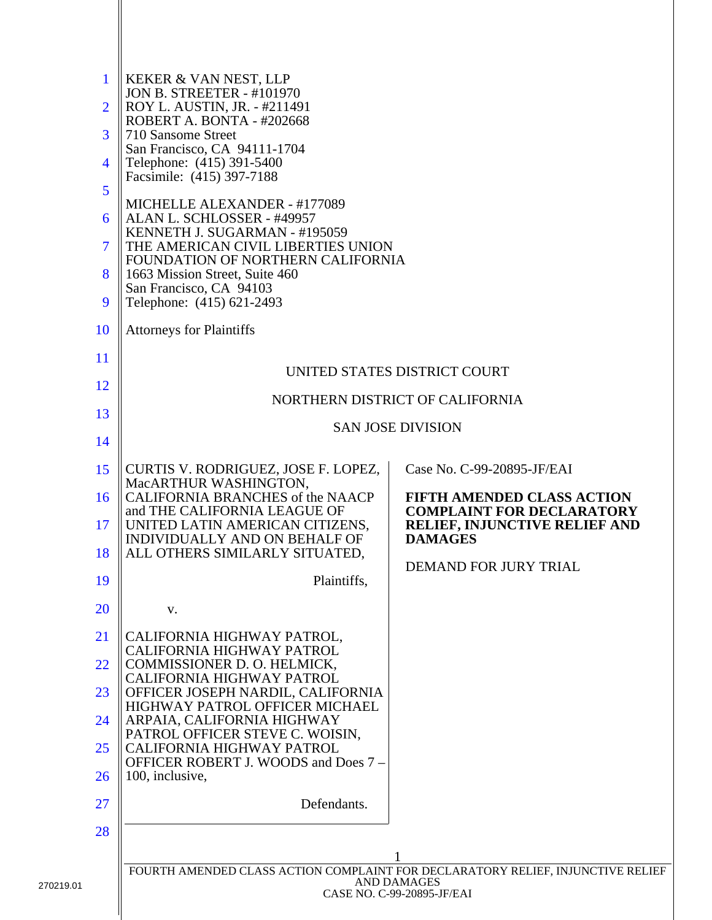| $\mathbf{1}$<br>$\overline{2}$ | KEKER & VAN NEST, LLP<br><b>JON B. STREETER - #101970</b><br>ROY L. AUSTIN, JR. - #211491 |                                                                                                                                     |
|--------------------------------|-------------------------------------------------------------------------------------------|-------------------------------------------------------------------------------------------------------------------------------------|
| 3                              | ROBERT A. BONTA - #202668<br>710 Sansome Street                                           |                                                                                                                                     |
| 4                              | San Francisco, CA 94111-1704<br>Telephone: (415) 391-5400                                 |                                                                                                                                     |
| 5                              | Facsimile: (415) 397-7188                                                                 |                                                                                                                                     |
| 6                              | MICHELLE ALEXANDER - #177089<br>ALAN L. SCHLOSSER - #49957                                |                                                                                                                                     |
| 7                              | KENNETH J. SUGARMAN - #195059<br>THE AMERICAN CIVIL LIBERTIES UNION                       |                                                                                                                                     |
| 8                              | FOUNDATION OF NORTHERN CALIFORNIA<br>1663 Mission Street, Suite 460                       |                                                                                                                                     |
| 9                              | San Francisco, CA 94103<br>Telephone: (415) 621-2493                                      |                                                                                                                                     |
| 10                             | <b>Attorneys for Plaintiffs</b>                                                           |                                                                                                                                     |
| 11                             |                                                                                           |                                                                                                                                     |
| 12                             |                                                                                           | UNITED STATES DISTRICT COURT                                                                                                        |
| 13                             |                                                                                           | NORTHERN DISTRICT OF CALIFORNIA                                                                                                     |
| 14                             |                                                                                           | <b>SAN JOSE DIVISION</b>                                                                                                            |
| 15                             | CURTIS V. RODRIGUEZ, JOSE F. LOPEZ,                                                       | Case No. C-99-20895-JF/EAI                                                                                                          |
| 16                             | MacARTHUR WASHINGTON,<br>CALIFORNIA BRANCHES of the NAACP                                 | <b>FIFTH AMENDED CLASS ACTION</b>                                                                                                   |
| 17                             | and THE CALIFORNIA LEAGUE OF<br>UNITED LATIN AMERICAN CITIZENS,                           | <b>COMPLAINT FOR DECLARATORY</b><br><b>RELIEF, INJUNCTIVE RELIEF AND</b>                                                            |
| 18                             | INDIVIDUALLY AND ON BEHALF OF<br>ALL OTHERS SIMILARLY SITUATED,                           | <b>DAMAGES</b>                                                                                                                      |
| 19                             | Plaintiffs,                                                                               | DEMAND FOR JURY TRIAL                                                                                                               |
| <b>20</b>                      | v.                                                                                        |                                                                                                                                     |
| 21                             | CALIFORNIA HIGHWAY PATROL,                                                                |                                                                                                                                     |
| 22                             | CALIFORNIA HIGHWAY PATROL<br>COMMISSIONER D. O. HELMICK,                                  |                                                                                                                                     |
| 23                             | CALIFORNIA HIGHWAY PATROL<br>OFFICER JOSEPH NARDIL, CALIFORNIA                            |                                                                                                                                     |
| 24                             | HIGHWAY PATROL OFFICER MICHAEL<br>ARPAIA, CALIFORNIA HIGHWAY                              |                                                                                                                                     |
| 25                             | PATROL OFFICER STEVE C. WOISIN,<br>CALIFORNIA HIGHWAY PATROL                              |                                                                                                                                     |
| 26                             | OFFICER ROBERT J. WOODS and Does 7 -<br>100, inclusive,                                   |                                                                                                                                     |
| 27                             | Defendants.                                                                               |                                                                                                                                     |
| 28                             |                                                                                           |                                                                                                                                     |
|                                |                                                                                           |                                                                                                                                     |
|                                |                                                                                           | FOURTH AMENDED CLASS ACTION COMPLAINT FOR DECLARATORY RELIEF, INJUNCTIVE RELIEF<br><b>AND DAMAGES</b><br>CASE NO. C-99-20895-JF/EAI |
|                                |                                                                                           |                                                                                                                                     |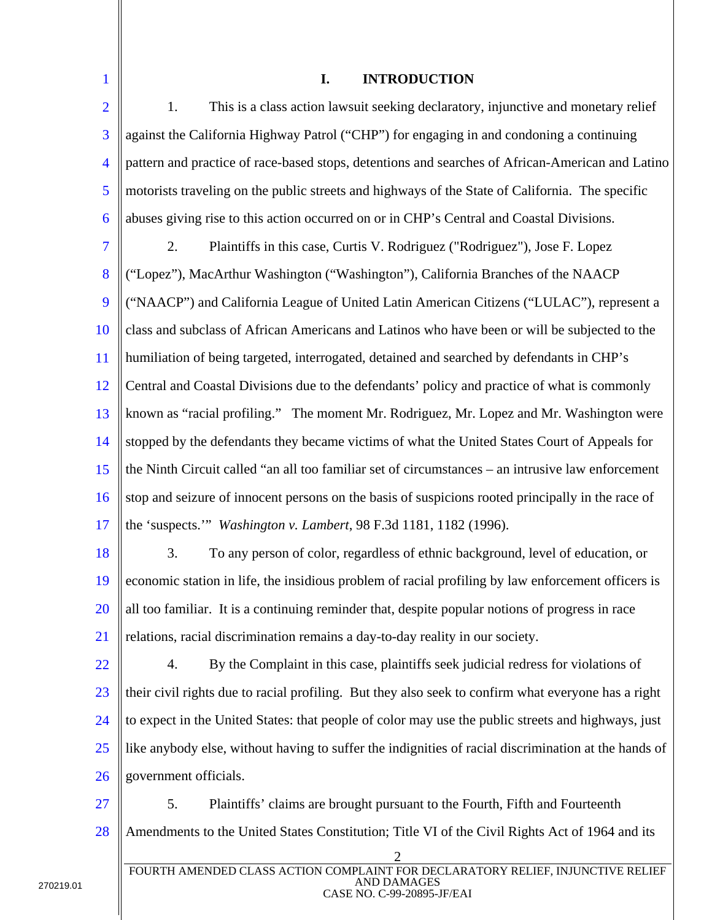| $\mathbf{1}$   | I.<br><b>INTRODUCTION</b>                                                                                               |  |
|----------------|-------------------------------------------------------------------------------------------------------------------------|--|
| $\overline{2}$ | This is a class action lawsuit seeking declaratory, injunctive and monetary relief<br>1.                                |  |
| 3              | against the California Highway Patrol ("CHP") for engaging in and condoning a continuing                                |  |
| $\overline{4}$ | pattern and practice of race-based stops, detentions and searches of African-American and Latino                        |  |
| 5              | motorists traveling on the public streets and highways of the State of California. The specific                         |  |
| 6              | abuses giving rise to this action occurred on or in CHP's Central and Coastal Divisions.                                |  |
| $\overline{7}$ | Plaintiffs in this case, Curtis V. Rodriguez ("Rodriguez"), Jose F. Lopez<br>2.                                         |  |
| 8              | ("Lopez"), MacArthur Washington ("Washington"), California Branches of the NAACP                                        |  |
| 9              | ("NAACP") and California League of United Latin American Citizens ("LULAC"), represent a                                |  |
| 10             | class and subclass of African Americans and Latinos who have been or will be subjected to the                           |  |
| 11             | humiliation of being targeted, interrogated, detained and searched by defendants in CHP's                               |  |
| 12             | Central and Coastal Divisions due to the defendants' policy and practice of what is commonly                            |  |
| 13             | known as "racial profiling." The moment Mr. Rodriguez, Mr. Lopez and Mr. Washington were                                |  |
| 14             | stopped by the defendants they became victims of what the United States Court of Appeals for                            |  |
| 15             | the Ninth Circuit called "an all too familiar set of circumstances – an intrusive law enforcement                       |  |
| 16             | stop and seizure of innocent persons on the basis of suspicions rooted principally in the race of                       |  |
| 17             | the 'suspects.'" Washington v. Lambert, 98 F.3d 1181, 1182 (1996).                                                      |  |
| 18             | 3.<br>To any person of color, regardless of ethnic background, level of education, or                                   |  |
| <b>19</b>      | economic station in life, the insidious problem of racial profiling by law enforcement officers is                      |  |
| 20             | all too familiar. It is a continuing reminder that, despite popular notions of progress in race                         |  |
| 21             | relations, racial discrimination remains a day-to-day reality in our society.                                           |  |
| 22             | 4.<br>By the Complaint in this case, plaintiffs seek judicial redress for violations of                                 |  |
| 23             | their civil rights due to racial profiling. But they also seek to confirm what everyone has a right                     |  |
| 24             | to expect in the United States: that people of color may use the public streets and highways, just                      |  |
| 25             | like anybody else, without having to suffer the indignities of racial discrimination at the hands of                    |  |
| 26             | government officials.                                                                                                   |  |
| 27             | 5.<br>Plaintiffs' claims are brought pursuant to the Fourth, Fifth and Fourteenth                                       |  |
| 28             | Amendments to the United States Constitution; Title VI of the Civil Rights Act of 1964 and its                          |  |
|                | $\overline{2}$<br>FOURTH AMENDED CLASS ACTION COMPLAINT FOR DECLARATORY RELIEF, INJUNCTIVE RELIEF<br><b>AND DAMAGES</b> |  |

# CASE NO. C-99-20895-JF/EAI

∥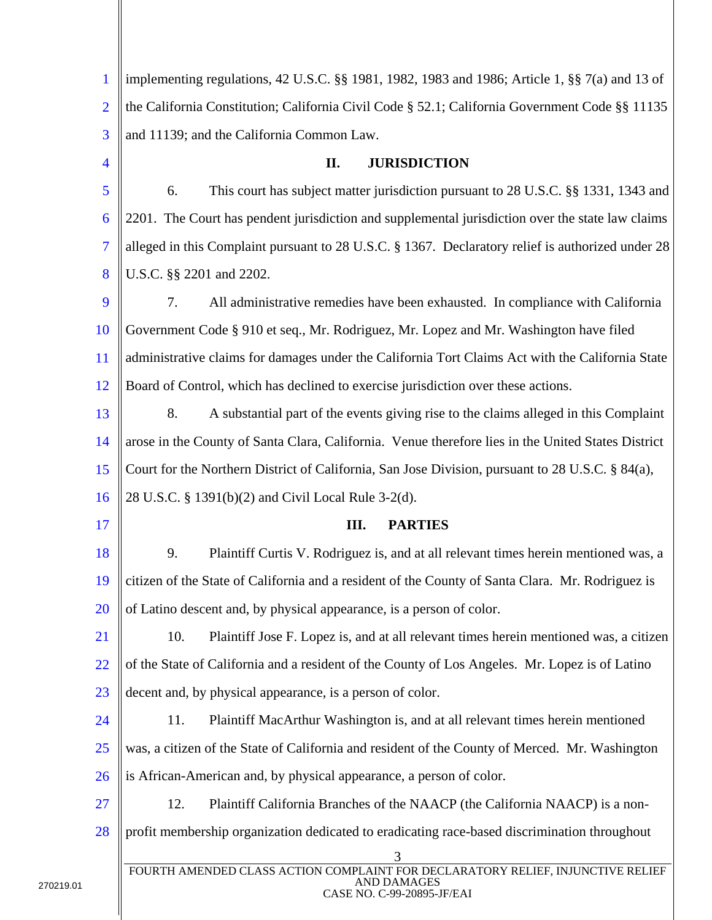| $\mathbf{1}$   | implementing regulations, 42 U.S.C. §§ 1981, 1982, 1983 and 1986; Article 1, §§ 7(a) and 13 of                                    |
|----------------|-----------------------------------------------------------------------------------------------------------------------------------|
| $\overline{2}$ | the California Constitution; California Civil Code § 52.1; California Government Code §§ 11135                                    |
| 3              | and 11139; and the California Common Law.                                                                                         |
| $\overline{4}$ | <b>JURISDICTION</b><br>II.                                                                                                        |
| 5              | This court has subject matter jurisdiction pursuant to 28 U.S.C. §§ 1331, 1343 and<br>6.                                          |
| 6              | 2201. The Court has pendent jurisdiction and supplemental jurisdiction over the state law claims                                  |
| $\overline{7}$ | alleged in this Complaint pursuant to 28 U.S.C. § 1367. Declaratory relief is authorized under 28                                 |
| 8              | U.S.C. §§ 2201 and 2202.                                                                                                          |
| 9              | 7.<br>All administrative remedies have been exhausted. In compliance with California                                              |
| <b>10</b>      | Government Code § 910 et seq., Mr. Rodriguez, Mr. Lopez and Mr. Washington have filed                                             |
| <sup>11</sup>  | administrative claims for damages under the California Tort Claims Act with the California State                                  |
| 12             | Board of Control, which has declined to exercise jurisdiction over these actions.                                                 |
| 13             | 8.<br>A substantial part of the events giving rise to the claims alleged in this Complaint                                        |
| 14             | arose in the County of Santa Clara, California. Venue therefore lies in the United States District                                |
| 15             | Court for the Northern District of California, San Jose Division, pursuant to 28 U.S.C. § 84(a),                                  |
| 16             | 28 U.S.C. § 1391(b)(2) and Civil Local Rule 3-2(d).                                                                               |
| 17             | Ш.<br><b>PARTIES</b>                                                                                                              |
| 18             | 9.<br>Plaintiff Curtis V. Rodriguez is, and at all relevant times herein mentioned was, a                                         |
| 19             | citizen of the State of California and a resident of the County of Santa Clara. Mr. Rodriguez is                                  |
| 20             | of Latino descent and, by physical appearance, is a person of color.                                                              |
| 21             | 10.<br>Plaintiff Jose F. Lopez is, and at all relevant times herein mentioned was, a citizen                                      |
| 22             | of the State of California and a resident of the County of Los Angeles. Mr. Lopez is of Latino                                    |
| 23             | decent and, by physical appearance, is a person of color.                                                                         |
| 24             | 11.<br>Plaintiff MacArthur Washington is, and at all relevant times herein mentioned                                              |
| 25             | was, a citizen of the State of California and resident of the County of Merced. Mr. Washington                                    |
| 26             | is African-American and, by physical appearance, a person of color.                                                               |
| 27             | 12.<br>Plaintiff California Branches of the NAACP (the California NAACP) is a non-                                                |
| 28             | profit membership organization dedicated to eradicating race-based discrimination throughout                                      |
|                | 3<br>FOURTH AMENDED CLASS ACTION COMPLAINT FOR DECLARATORY RELIEF, INJUNCTIVE RELIEF<br>AND DAMAGES<br>CASE NO. C-99-20895-JF/EAI |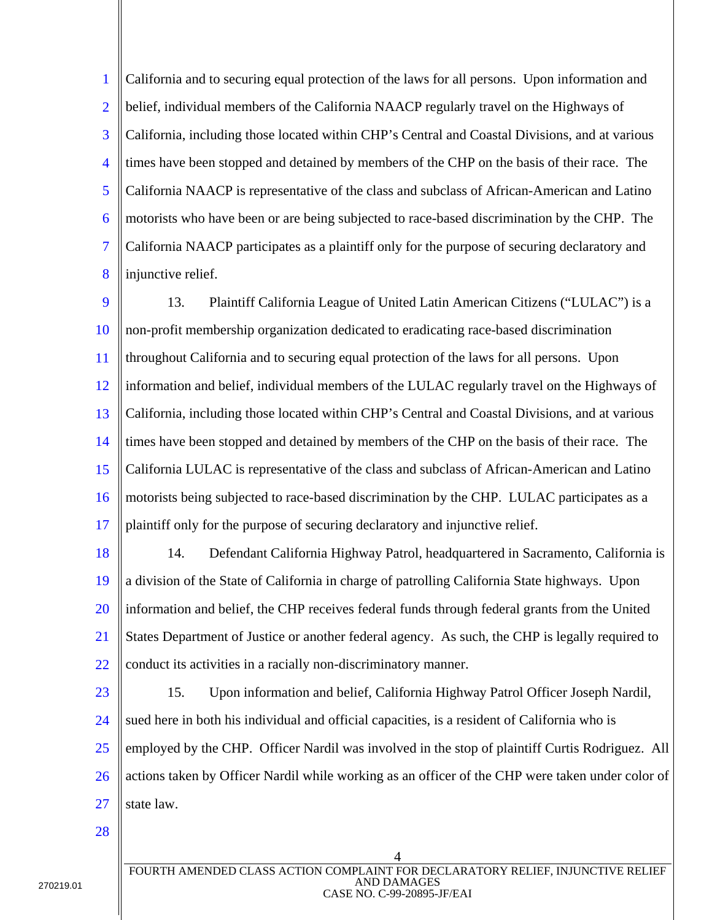1 2 3 4 5 6 7 8 California and to securing equal protection of the laws for all persons. Upon information and belief, individual members of the California NAACP regularly travel on the Highways of California, including those located within CHP's Central and Coastal Divisions, and at various times have been stopped and detained by members of the CHP on the basis of their race. The California NAACP is representative of the class and subclass of African-American and Latino motorists who have been or are being subjected to race-based discrimination by the CHP. The California NAACP participates as a plaintiff only for the purpose of securing declaratory and injunctive relief.

9 10 11 12 13 14 15 16 17 13. Plaintiff California League of United Latin American Citizens ("LULAC") is a non-profit membership organization dedicated to eradicating race-based discrimination throughout California and to securing equal protection of the laws for all persons. Upon information and belief, individual members of the LULAC regularly travel on the Highways of California, including those located within CHP's Central and Coastal Divisions, and at various times have been stopped and detained by members of the CHP on the basis of their race. The California LULAC is representative of the class and subclass of African-American and Latino motorists being subjected to race-based discrimination by the CHP. LULAC participates as a plaintiff only for the purpose of securing declaratory and injunctive relief.

18 19 20 21 22 14. Defendant California Highway Patrol, headquartered in Sacramento, California is a division of the State of California in charge of patrolling California State highways. Upon information and belief, the CHP receives federal funds through federal grants from the United States Department of Justice or another federal agency. As such, the CHP is legally required to conduct its activities in a racially non-discriminatory manner.

23

24 25 26 27 15. Upon information and belief, California Highway Patrol Officer Joseph Nardil, sued here in both his individual and official capacities, is a resident of California who is employed by the CHP. Officer Nardil was involved in the stop of plaintiff Curtis Rodriguez. All actions taken by Officer Nardil while working as an officer of the CHP were taken under color of state law.

28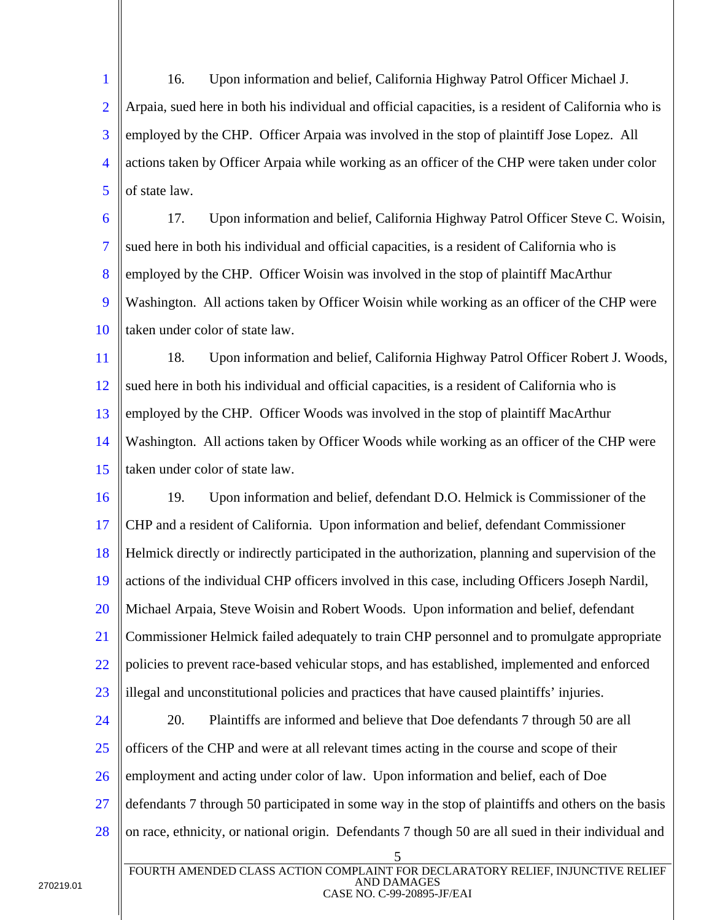1 2 3 4 5 16. Upon information and belief, California Highway Patrol Officer Michael J. Arpaia, sued here in both his individual and official capacities, is a resident of California who is employed by the CHP. Officer Arpaia was involved in the stop of plaintiff Jose Lopez. All actions taken by Officer Arpaia while working as an officer of the CHP were taken under color of state law.

6 7 8 9 10 17. Upon information and belief, California Highway Patrol Officer Steve C. Woisin, sued here in both his individual and official capacities, is a resident of California who is employed by the CHP. Officer Woisin was involved in the stop of plaintiff MacArthur Washington. All actions taken by Officer Woisin while working as an officer of the CHP were taken under color of state law.

11 12 13 14 15 18. Upon information and belief, California Highway Patrol Officer Robert J. Woods, sued here in both his individual and official capacities, is a resident of California who is employed by the CHP. Officer Woods was involved in the stop of plaintiff MacArthur Washington. All actions taken by Officer Woods while working as an officer of the CHP were taken under color of state law.

16 17 18 19 20 21 22 23 19. Upon information and belief, defendant D.O. Helmick is Commissioner of the CHP and a resident of California. Upon information and belief, defendant Commissioner Helmick directly or indirectly participated in the authorization, planning and supervision of the actions of the individual CHP officers involved in this case, including Officers Joseph Nardil, Michael Arpaia, Steve Woisin and Robert Woods. Upon information and belief, defendant Commissioner Helmick failed adequately to train CHP personnel and to promulgate appropriate policies to prevent race-based vehicular stops, and has established, implemented and enforced illegal and unconstitutional policies and practices that have caused plaintiffs' injuries.

24

25 26 27 28 20. Plaintiffs are informed and believe that Doe defendants 7 through 50 are all officers of the CHP and were at all relevant times acting in the course and scope of their employment and acting under color of law. Upon information and belief, each of Doe defendants 7 through 50 participated in some way in the stop of plaintiffs and others on the basis on race, ethnicity, or national origin. Defendants 7 though 50 are all sued in their individual and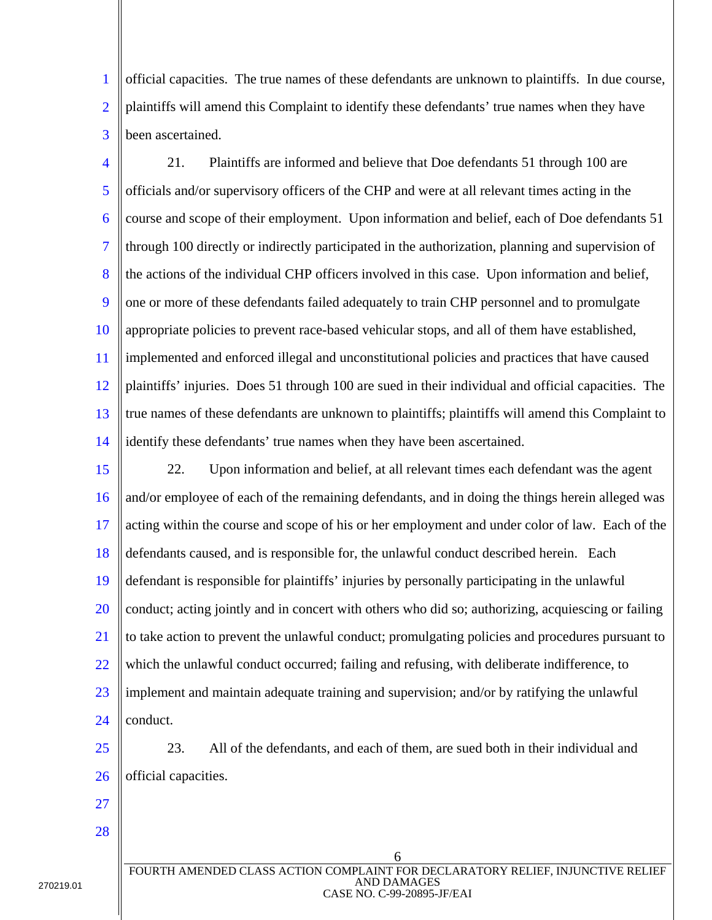1 2 3 official capacities. The true names of these defendants are unknown to plaintiffs. In due course, plaintiffs will amend this Complaint to identify these defendants' true names when they have been ascertained.

4 5 6 7 8 9 10 11 12 13 14 21. Plaintiffs are informed and believe that Doe defendants 51 through 100 are officials and/or supervisory officers of the CHP and were at all relevant times acting in the course and scope of their employment. Upon information and belief, each of Doe defendants 51 through 100 directly or indirectly participated in the authorization, planning and supervision of the actions of the individual CHP officers involved in this case. Upon information and belief, one or more of these defendants failed adequately to train CHP personnel and to promulgate appropriate policies to prevent race-based vehicular stops, and all of them have established, implemented and enforced illegal and unconstitutional policies and practices that have caused plaintiffs' injuries. Does 51 through 100 are sued in their individual and official capacities. The true names of these defendants are unknown to plaintiffs; plaintiffs will amend this Complaint to identify these defendants' true names when they have been ascertained.

15 16 17 18 19 20 21 22 23 24 22. Upon information and belief, at all relevant times each defendant was the agent and/or employee of each of the remaining defendants, and in doing the things herein alleged was acting within the course and scope of his or her employment and under color of law. Each of the defendants caused, and is responsible for, the unlawful conduct described herein. Each defendant is responsible for plaintiffs' injuries by personally participating in the unlawful conduct; acting jointly and in concert with others who did so; authorizing, acquiescing or failing to take action to prevent the unlawful conduct; promulgating policies and procedures pursuant to which the unlawful conduct occurred; failing and refusing, with deliberate indifference, to implement and maintain adequate training and supervision; and/or by ratifying the unlawful conduct.

25 26

23. All of the defendants, and each of them, are sued both in their individual and official capacities.

27 28

270219.01

AND DAMAGES CASE NO. C-99-20895-JF/EAI

6

FOURTH AMENDED CLASS ACTION COMPLAINT FOR DECLARATORY RELIEF, INJUNCTIVE RELIEF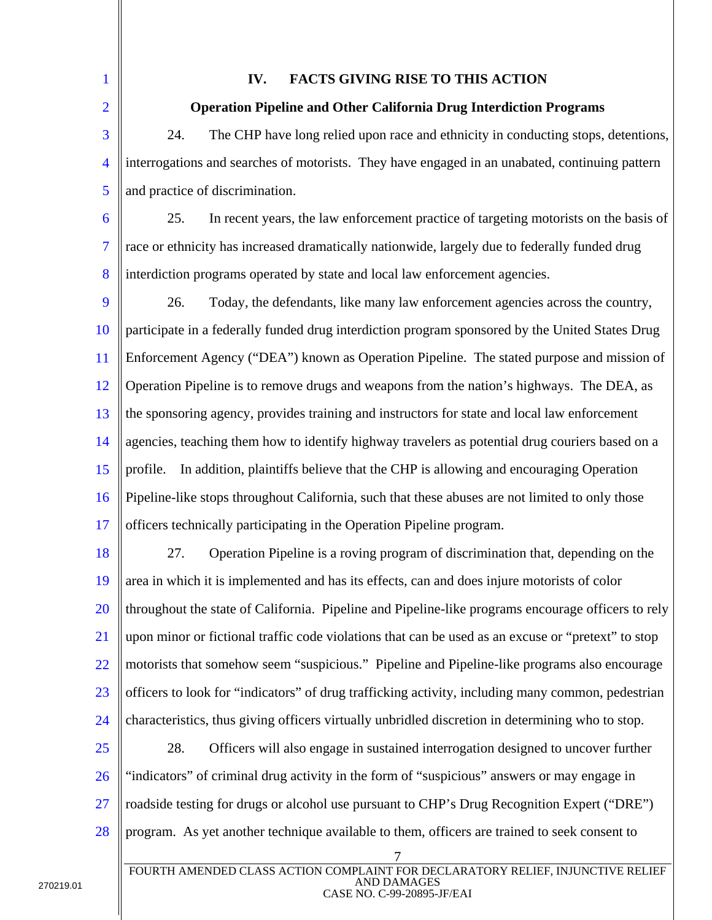| $\mathbf{1}$             | <b>FACTS GIVING RISE TO THIS ACTION</b><br>IV.                                                                                                        |  |
|--------------------------|-------------------------------------------------------------------------------------------------------------------------------------------------------|--|
| $\overline{2}$           | <b>Operation Pipeline and Other California Drug Interdiction Programs</b>                                                                             |  |
| 3                        | The CHP have long relied upon race and ethnicity in conducting stops, detentions,<br>24.                                                              |  |
| $\overline{\mathcal{A}}$ | interrogations and searches of motorists. They have engaged in an unabated, continuing pattern                                                        |  |
| 5                        | and practice of discrimination.                                                                                                                       |  |
| 6                        | In recent years, the law enforcement practice of targeting motorists on the basis of<br>25.                                                           |  |
| $\overline{7}$           | race or ethnicity has increased dramatically nationwide, largely due to federally funded drug                                                         |  |
| 8                        | interdiction programs operated by state and local law enforcement agencies.                                                                           |  |
| 9                        | Today, the defendants, like many law enforcement agencies across the country,<br>26.                                                                  |  |
| 10                       | participate in a federally funded drug interdiction program sponsored by the United States Drug                                                       |  |
| 11                       | Enforcement Agency ("DEA") known as Operation Pipeline. The stated purpose and mission of                                                             |  |
| 12                       | Operation Pipeline is to remove drugs and weapons from the nation's highways. The DEA, as                                                             |  |
| 13                       | the sponsoring agency, provides training and instructors for state and local law enforcement                                                          |  |
| 14                       | agencies, teaching them how to identify highway travelers as potential drug couriers based on a                                                       |  |
| 15                       | In addition, plaintiffs believe that the CHP is allowing and encouraging Operation<br>profile.                                                        |  |
| 16                       | Pipeline-like stops throughout California, such that these abuses are not limited to only those                                                       |  |
| 17                       | officers technically participating in the Operation Pipeline program.                                                                                 |  |
| 18                       | Operation Pipeline is a roving program of discrimination that, depending on the<br>27.                                                                |  |
| 19                       | area in which it is implemented and has its effects, can and does injure motorists of color                                                           |  |
| 20                       | throughout the state of California. Pipeline and Pipeline-like programs encourage officers to rely                                                    |  |
| 21                       | upon minor or fictional traffic code violations that can be used as an excuse or "pretext" to stop                                                    |  |
| 22                       | motorists that somehow seem "suspicious." Pipeline and Pipeline-like programs also encourage                                                          |  |
| 23                       | officers to look for "indicators" of drug trafficking activity, including many common, pedestrian                                                     |  |
| 24                       | characteristics, thus giving officers virtually unbridled discretion in determining who to stop.                                                      |  |
| 25                       | 28.<br>Officers will also engage in sustained interrogation designed to uncover further                                                               |  |
| 26                       | "indicators" of criminal drug activity in the form of "suspicious" answers or may engage in                                                           |  |
| 27                       | roadside testing for drugs or alcohol use pursuant to CHP's Drug Recognition Expert ("DRE")                                                           |  |
| 28                       | program. As yet another technique available to them, officers are trained to seek consent to                                                          |  |
|                          | $\overline{7}$<br>FOURTH AMENDED CLASS ACTION COMPLAINT FOR DECLARATORY RELIEF, INJUNCTIVE RELIEF<br><b>AND DAMAGES</b><br>CASE NO. C-99-20895-JF/EAI |  |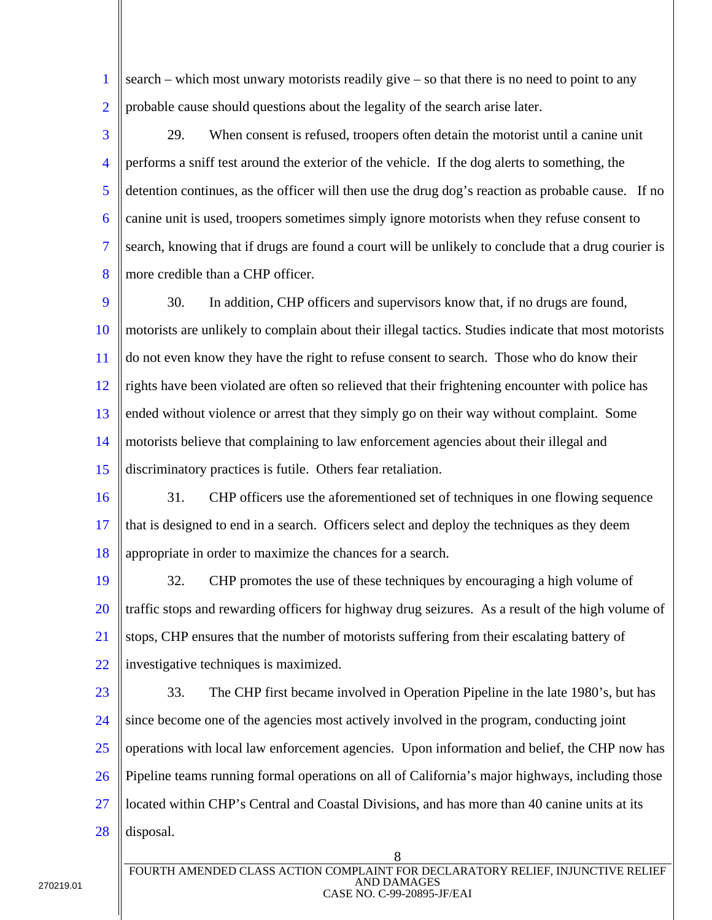1 2 search – which most unwary motorists readily give – so that there is no need to point to any probable cause should questions about the legality of the search arise later.

3 4 5 6 7 8 29. When consent is refused, troopers often detain the motorist until a canine unit performs a sniff test around the exterior of the vehicle. If the dog alerts to something, the detention continues, as the officer will then use the drug dog's reaction as probable cause. If no canine unit is used, troopers sometimes simply ignore motorists when they refuse consent to search, knowing that if drugs are found a court will be unlikely to conclude that a drug courier is more credible than a CHP officer.

9 10 11 12 13 14 15 30. In addition, CHP officers and supervisors know that, if no drugs are found, motorists are unlikely to complain about their illegal tactics. Studies indicate that most motorists do not even know they have the right to refuse consent to search. Those who do know their rights have been violated are often so relieved that their frightening encounter with police has ended without violence or arrest that they simply go on their way without complaint. Some motorists believe that complaining to law enforcement agencies about their illegal and discriminatory practices is futile. Others fear retaliation.

16 17 18 31. CHP officers use the aforementioned set of techniques in one flowing sequence that is designed to end in a search. Officers select and deploy the techniques as they deem appropriate in order to maximize the chances for a search.

- 19 20 21 22 32. CHP promotes the use of these techniques by encouraging a high volume of traffic stops and rewarding officers for highway drug seizures. As a result of the high volume of stops, CHP ensures that the number of motorists suffering from their escalating battery of investigative techniques is maximized.
- 23

24 25 26 27 28 33. The CHP first became involved in Operation Pipeline in the late 1980's, but has since become one of the agencies most actively involved in the program, conducting joint operations with local law enforcement agencies. Upon information and belief, the CHP now has Pipeline teams running formal operations on all of California's major highways, including those located within CHP's Central and Coastal Divisions, and has more than 40 canine units at its disposal.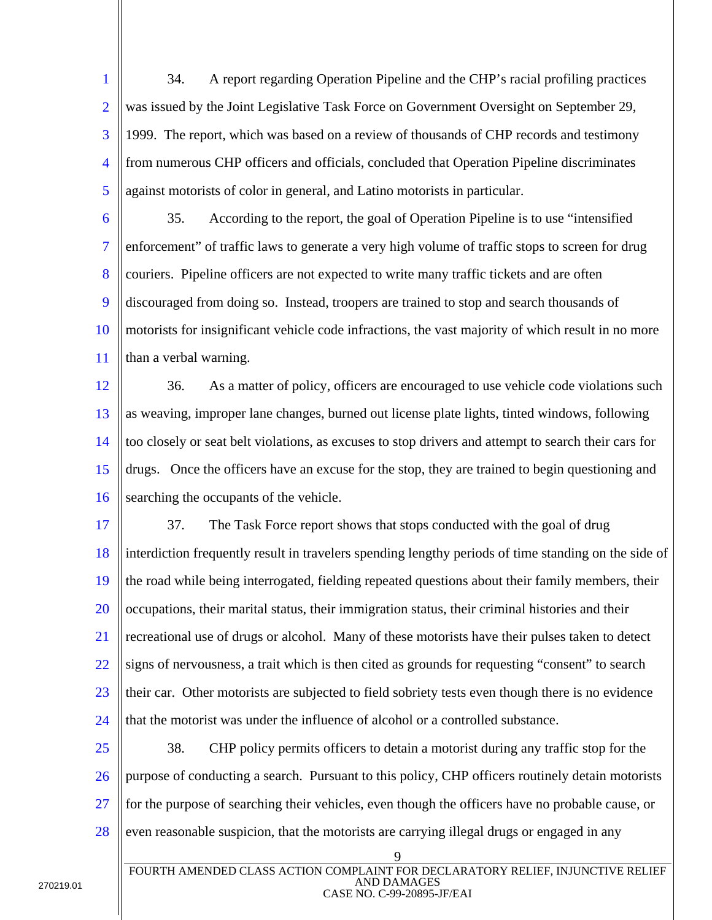1 2 3 4 5 34. A report regarding Operation Pipeline and the CHP's racial profiling practices was issued by the Joint Legislative Task Force on Government Oversight on September 29, 1999. The report, which was based on a review of thousands of CHP records and testimony from numerous CHP officers and officials, concluded that Operation Pipeline discriminates against motorists of color in general, and Latino motorists in particular.

6 7 8 9 10 11 35. According to the report, the goal of Operation Pipeline is to use "intensified enforcement" of traffic laws to generate a very high volume of traffic stops to screen for drug couriers. Pipeline officers are not expected to write many traffic tickets and are often discouraged from doing so. Instead, troopers are trained to stop and search thousands of motorists for insignificant vehicle code infractions, the vast majority of which result in no more than a verbal warning.

12 13 14 15 16 36. As a matter of policy, officers are encouraged to use vehicle code violations such as weaving, improper lane changes, burned out license plate lights, tinted windows, following too closely or seat belt violations, as excuses to stop drivers and attempt to search their cars for drugs. Once the officers have an excuse for the stop, they are trained to begin questioning and searching the occupants of the vehicle.

17 18 19 20 21 22 23 24 37. The Task Force report shows that stops conducted with the goal of drug interdiction frequently result in travelers spending lengthy periods of time standing on the side of the road while being interrogated, fielding repeated questions about their family members, their occupations, their marital status, their immigration status, their criminal histories and their recreational use of drugs or alcohol. Many of these motorists have their pulses taken to detect signs of nervousness, a trait which is then cited as grounds for requesting "consent" to search their car. Other motorists are subjected to field sobriety tests even though there is no evidence that the motorist was under the influence of alcohol or a controlled substance.

25 26 27 28 38. CHP policy permits officers to detain a motorist during any traffic stop for the purpose of conducting a search. Pursuant to this policy, CHP officers routinely detain motorists for the purpose of searching their vehicles, even though the officers have no probable cause, or even reasonable suspicion, that the motorists are carrying illegal drugs or engaged in any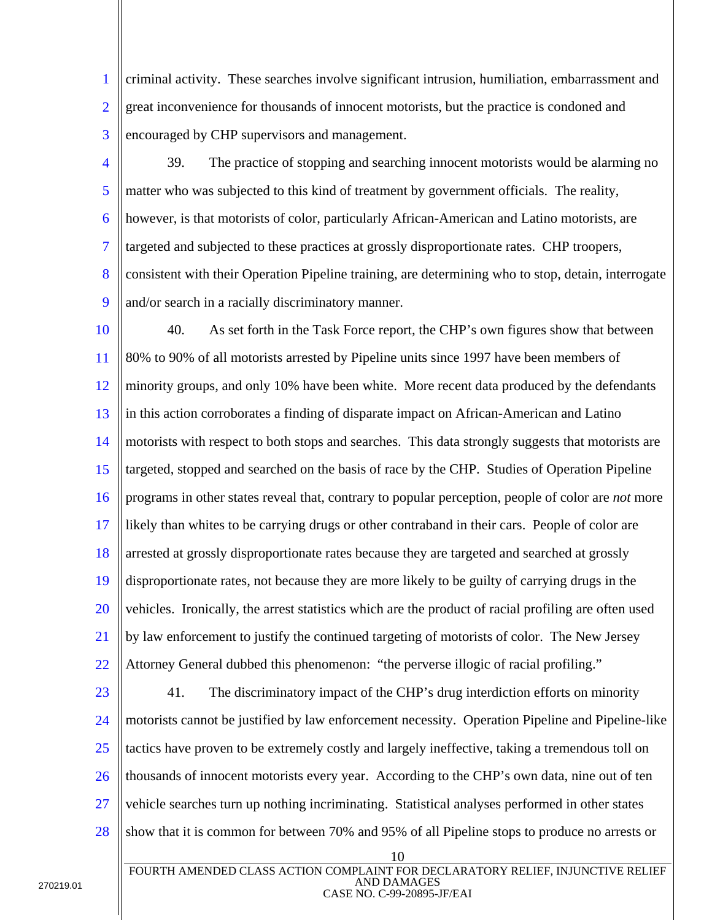1 2 3 criminal activity. These searches involve significant intrusion, humiliation, embarrassment and great inconvenience for thousands of innocent motorists, but the practice is condoned and encouraged by CHP supervisors and management.

4 5 6 7 8 9 39. The practice of stopping and searching innocent motorists would be alarming no matter who was subjected to this kind of treatment by government officials. The reality, however, is that motorists of color, particularly African-American and Latino motorists, are targeted and subjected to these practices at grossly disproportionate rates. CHP troopers, consistent with their Operation Pipeline training, are determining who to stop, detain, interrogate and/or search in a racially discriminatory manner.

10 11 12 13 14 15 16 17 18 19 20 21 22 40. As set forth in the Task Force report, the CHP's own figures show that between 80% to 90% of all motorists arrested by Pipeline units since 1997 have been members of minority groups, and only 10% have been white. More recent data produced by the defendants in this action corroborates a finding of disparate impact on African-American and Latino motorists with respect to both stops and searches. This data strongly suggests that motorists are targeted, stopped and searched on the basis of race by the CHP. Studies of Operation Pipeline programs in other states reveal that, contrary to popular perception, people of color are *not* more likely than whites to be carrying drugs or other contraband in their cars. People of color are arrested at grossly disproportionate rates because they are targeted and searched at grossly disproportionate rates, not because they are more likely to be guilty of carrying drugs in the vehicles. Ironically, the arrest statistics which are the product of racial profiling are often used by law enforcement to justify the continued targeting of motorists of color. The New Jersey Attorney General dubbed this phenomenon: "the perverse illogic of racial profiling."

23

24 25 26 27 28 41. The discriminatory impact of the CHP's drug interdiction efforts on minority motorists cannot be justified by law enforcement necessity. Operation Pipeline and Pipeline-like tactics have proven to be extremely costly and largely ineffective, taking a tremendous toll on thousands of innocent motorists every year. According to the CHP's own data, nine out of ten vehicle searches turn up nothing incriminating. Statistical analyses performed in other states show that it is common for between 70% and 95% of all Pipeline stops to produce no arrests or

10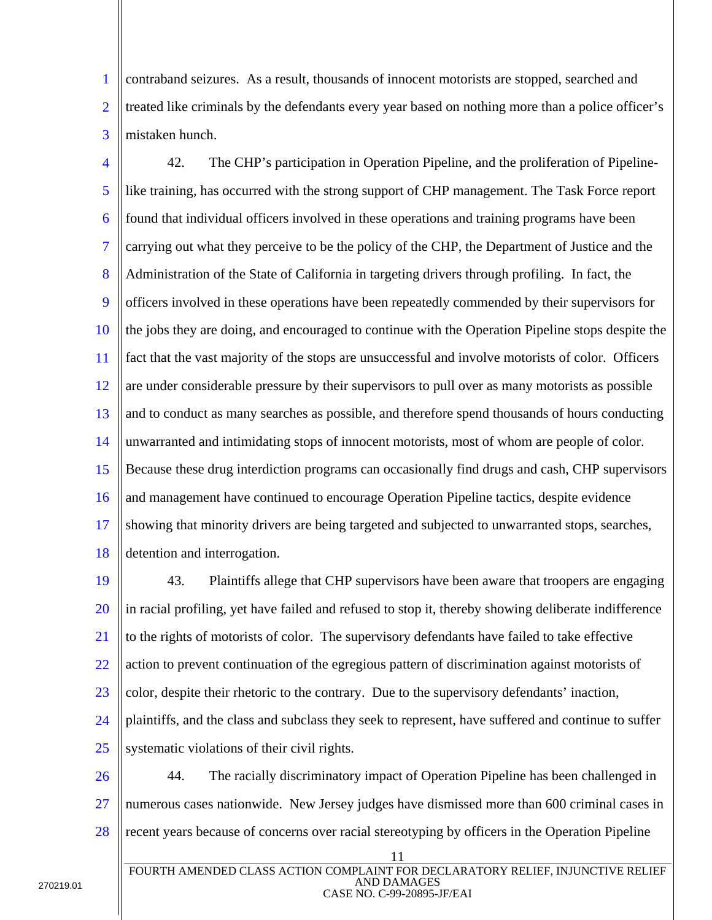1 2 3 contraband seizures. As a result, thousands of innocent motorists are stopped, searched and treated like criminals by the defendants every year based on nothing more than a police officer's mistaken hunch.

4 5 6 7 8 9 10 11 12 13 14 15 16 17 18 42. The CHP's participation in Operation Pipeline, and the proliferation of Pipelinelike training, has occurred with the strong support of CHP management. The Task Force report found that individual officers involved in these operations and training programs have been carrying out what they perceive to be the policy of the CHP, the Department of Justice and the Administration of the State of California in targeting drivers through profiling. In fact, the officers involved in these operations have been repeatedly commended by their supervisors for the jobs they are doing, and encouraged to continue with the Operation Pipeline stops despite the fact that the vast majority of the stops are unsuccessful and involve motorists of color. Officers are under considerable pressure by their supervisors to pull over as many motorists as possible and to conduct as many searches as possible, and therefore spend thousands of hours conducting unwarranted and intimidating stops of innocent motorists, most of whom are people of color. Because these drug interdiction programs can occasionally find drugs and cash, CHP supervisors and management have continued to encourage Operation Pipeline tactics, despite evidence showing that minority drivers are being targeted and subjected to unwarranted stops, searches, detention and interrogation.

19 20 21 22 23 24 25 43. Plaintiffs allege that CHP supervisors have been aware that troopers are engaging in racial profiling, yet have failed and refused to stop it, thereby showing deliberate indifference to the rights of motorists of color. The supervisory defendants have failed to take effective action to prevent continuation of the egregious pattern of discrimination against motorists of color, despite their rhetoric to the contrary. Due to the supervisory defendants' inaction, plaintiffs, and the class and subclass they seek to represent, have suffered and continue to suffer systematic violations of their civil rights.

26 27 28 44. The racially discriminatory impact of Operation Pipeline has been challenged in numerous cases nationwide. New Jersey judges have dismissed more than 600 criminal cases in recent years because of concerns over racial stereotyping by officers in the Operation Pipeline

<sup>11</sup>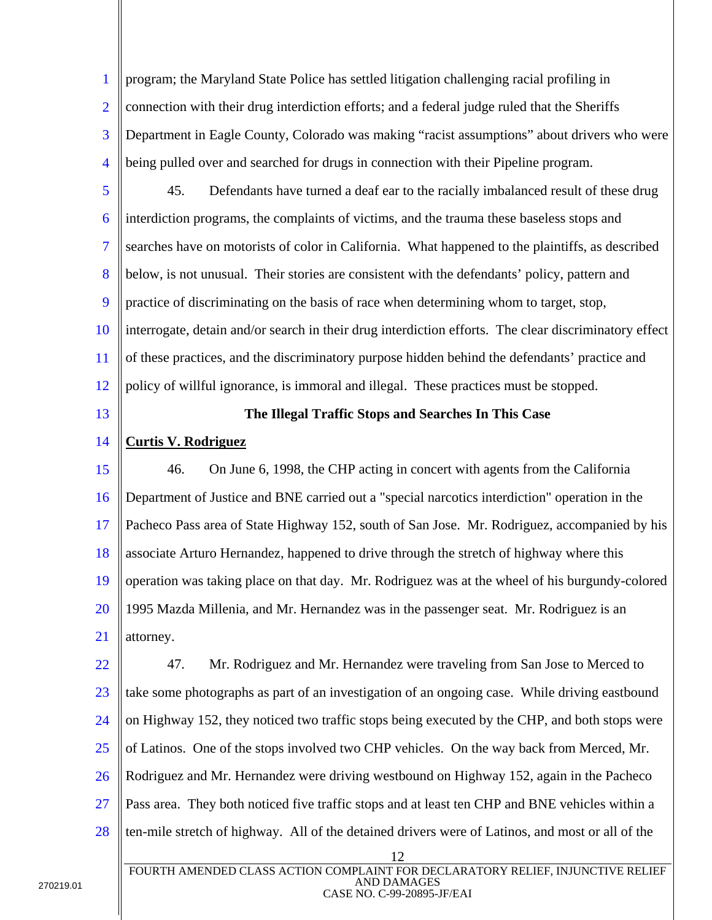1 2 3 4 program; the Maryland State Police has settled litigation challenging racial profiling in connection with their drug interdiction efforts; and a federal judge ruled that the Sheriffs Department in Eagle County, Colorado was making "racist assumptions" about drivers who were being pulled over and searched for drugs in connection with their Pipeline program.

- 5 6 7 8 9 10 11 12 45. Defendants have turned a deaf ear to the racially imbalanced result of these drug interdiction programs, the complaints of victims, and the trauma these baseless stops and searches have on motorists of color in California. What happened to the plaintiffs, as described below, is not unusual. Their stories are consistent with the defendants' policy, pattern and practice of discriminating on the basis of race when determining whom to target, stop, interrogate, detain and/or search in their drug interdiction efforts. The clear discriminatory effect of these practices, and the discriminatory purpose hidden behind the defendants' practice and policy of willful ignorance, is immoral and illegal. These practices must be stopped.
- 13

### **The Illegal Traffic Stops and Searches In This Case**

#### 14 **Curtis V. Rodriguez**

15 16 17 18 19 20 21 46. On June 6, 1998, the CHP acting in concert with agents from the California Department of Justice and BNE carried out a "special narcotics interdiction" operation in the Pacheco Pass area of State Highway 152, south of San Jose. Mr. Rodriguez, accompanied by his associate Arturo Hernandez, happened to drive through the stretch of highway where this operation was taking place on that day. Mr. Rodriguez was at the wheel of his burgundy-colored 1995 Mazda Millenia, and Mr. Hernandez was in the passenger seat. Mr. Rodriguez is an attorney.

12 22 23 24 25 26 27 28 47. Mr. Rodriguez and Mr. Hernandez were traveling from San Jose to Merced to take some photographs as part of an investigation of an ongoing case. While driving eastbound on Highway 152, they noticed two traffic stops being executed by the CHP, and both stops were of Latinos. One of the stops involved two CHP vehicles. On the way back from Merced, Mr. Rodriguez and Mr. Hernandez were driving westbound on Highway 152, again in the Pacheco Pass area. They both noticed five traffic stops and at least ten CHP and BNE vehicles within a ten-mile stretch of highway. All of the detained drivers were of Latinos, and most or all of the FOURTH AMENDED CLASS ACTION COMPLAINT FOR DECLARATORY RELIEF, INJUNCTIVE RELIEF

AND DAMAGES CASE NO. C-99-20895-JF/EAI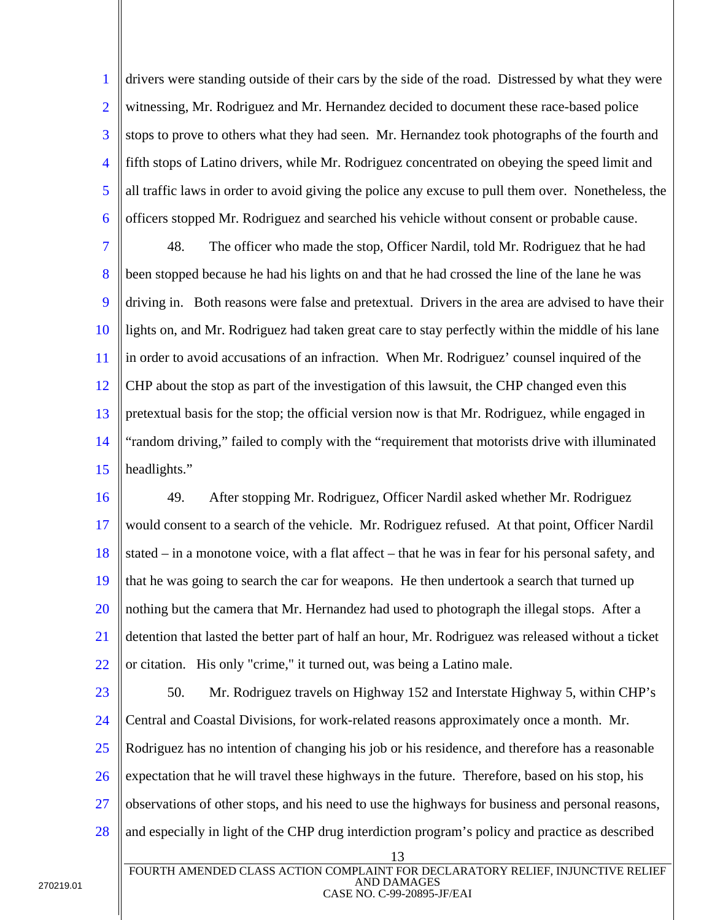1 2 3 4 5 6 drivers were standing outside of their cars by the side of the road. Distressed by what they were witnessing, Mr. Rodriguez and Mr. Hernandez decided to document these race-based police stops to prove to others what they had seen. Mr. Hernandez took photographs of the fourth and fifth stops of Latino drivers, while Mr. Rodriguez concentrated on obeying the speed limit and all traffic laws in order to avoid giving the police any excuse to pull them over. Nonetheless, the officers stopped Mr. Rodriguez and searched his vehicle without consent or probable cause.

7 8 9 10 11 12 13 14 15 48. The officer who made the stop, Officer Nardil, told Mr. Rodriguez that he had been stopped because he had his lights on and that he had crossed the line of the lane he was driving in. Both reasons were false and pretextual. Drivers in the area are advised to have their lights on, and Mr. Rodriguez had taken great care to stay perfectly within the middle of his lane in order to avoid accusations of an infraction. When Mr. Rodriguez' counsel inquired of the CHP about the stop as part of the investigation of this lawsuit, the CHP changed even this pretextual basis for the stop; the official version now is that Mr. Rodriguez, while engaged in "random driving," failed to comply with the "requirement that motorists drive with illuminated headlights."

16 17 18 19 20 21 22 49. After stopping Mr. Rodriguez, Officer Nardil asked whether Mr. Rodriguez would consent to a search of the vehicle. Mr. Rodriguez refused. At that point, Officer Nardil stated – in a monotone voice, with a flat affect – that he was in fear for his personal safety, and that he was going to search the car for weapons. He then undertook a search that turned up nothing but the camera that Mr. Hernandez had used to photograph the illegal stops. After a detention that lasted the better part of half an hour, Mr. Rodriguez was released without a ticket or citation. His only "crime," it turned out, was being a Latino male.

23

24 25 26 27 28 50. Mr. Rodriguez travels on Highway 152 and Interstate Highway 5, within CHP's Central and Coastal Divisions, for work-related reasons approximately once a month. Mr. Rodriguez has no intention of changing his job or his residence, and therefore has a reasonable expectation that he will travel these highways in the future. Therefore, based on his stop, his observations of other stops, and his need to use the highways for business and personal reasons, and especially in light of the CHP drug interdiction program's policy and practice as described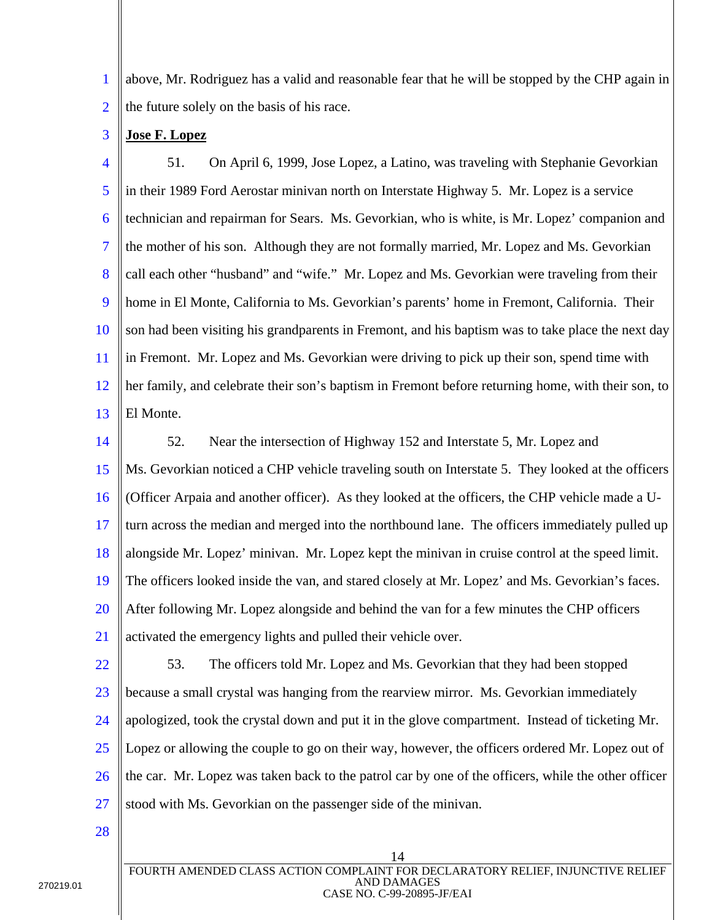1 2 above, Mr. Rodriguez has a valid and reasonable fear that he will be stopped by the CHP again in the future solely on the basis of his race.

3 **Jose F. Lopez**

4 5 6 7 8 9 10 11 12 13 51. On April 6, 1999, Jose Lopez, a Latino, was traveling with Stephanie Gevorkian in their 1989 Ford Aerostar minivan north on Interstate Highway 5. Mr. Lopez is a service technician and repairman for Sears. Ms. Gevorkian, who is white, is Mr. Lopez' companion and the mother of his son. Although they are not formally married, Mr. Lopez and Ms. Gevorkian call each other "husband" and "wife." Mr. Lopez and Ms. Gevorkian were traveling from their home in El Monte, California to Ms. Gevorkian's parents' home in Fremont, California. Their son had been visiting his grandparents in Fremont, and his baptism was to take place the next day in Fremont. Mr. Lopez and Ms. Gevorkian were driving to pick up their son, spend time with her family, and celebrate their son's baptism in Fremont before returning home, with their son, to El Monte.

14 15 16 17 18 19 20 21 52. Near the intersection of Highway 152 and Interstate 5, Mr. Lopez and Ms. Gevorkian noticed a CHP vehicle traveling south on Interstate 5. They looked at the officers (Officer Arpaia and another officer). As they looked at the officers, the CHP vehicle made a Uturn across the median and merged into the northbound lane. The officers immediately pulled up alongside Mr. Lopez' minivan. Mr. Lopez kept the minivan in cruise control at the speed limit. The officers looked inside the van, and stared closely at Mr. Lopez' and Ms. Gevorkian's faces. After following Mr. Lopez alongside and behind the van for a few minutes the CHP officers activated the emergency lights and pulled their vehicle over.

22 23 24 25 26 27 53. The officers told Mr. Lopez and Ms. Gevorkian that they had been stopped because a small crystal was hanging from the rearview mirror. Ms. Gevorkian immediately apologized, took the crystal down and put it in the glove compartment. Instead of ticketing Mr. Lopez or allowing the couple to go on their way, however, the officers ordered Mr. Lopez out of the car. Mr. Lopez was taken back to the patrol car by one of the officers, while the other officer stood with Ms. Gevorkian on the passenger side of the minivan.

28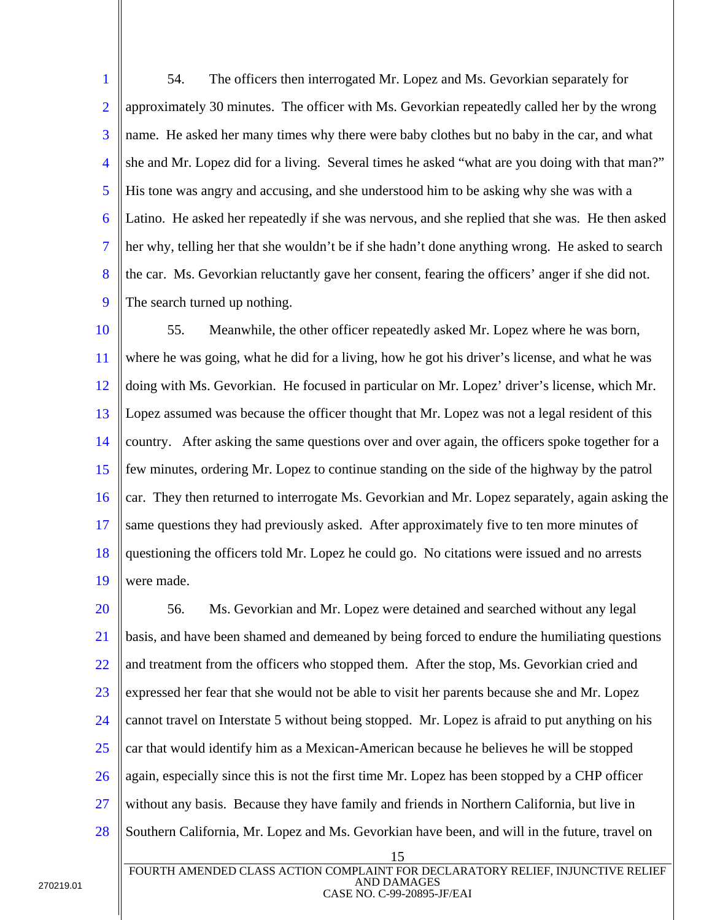1 2 3 4 5 6 7 8 9 54. The officers then interrogated Mr. Lopez and Ms. Gevorkian separately for approximately 30 minutes. The officer with Ms. Gevorkian repeatedly called her by the wrong name. He asked her many times why there were baby clothes but no baby in the car, and what she and Mr. Lopez did for a living. Several times he asked "what are you doing with that man?" His tone was angry and accusing, and she understood him to be asking why she was with a Latino. He asked her repeatedly if she was nervous, and she replied that she was. He then asked her why, telling her that she wouldn't be if she hadn't done anything wrong. He asked to search the car. Ms. Gevorkian reluctantly gave her consent, fearing the officers' anger if she did not. The search turned up nothing.

10 11 12 13 14 15 16 17 18 19 55. Meanwhile, the other officer repeatedly asked Mr. Lopez where he was born, where he was going, what he did for a living, how he got his driver's license, and what he was doing with Ms. Gevorkian. He focused in particular on Mr. Lopez' driver's license, which Mr. Lopez assumed was because the officer thought that Mr. Lopez was not a legal resident of this country. After asking the same questions over and over again, the officers spoke together for a few minutes, ordering Mr. Lopez to continue standing on the side of the highway by the patrol car. They then returned to interrogate Ms. Gevorkian and Mr. Lopez separately, again asking the same questions they had previously asked. After approximately five to ten more minutes of questioning the officers told Mr. Lopez he could go. No citations were issued and no arrests were made.

15 20 21 22 23 24 25 26 27 28 56. Ms. Gevorkian and Mr. Lopez were detained and searched without any legal basis, and have been shamed and demeaned by being forced to endure the humiliating questions and treatment from the officers who stopped them. After the stop, Ms. Gevorkian cried and expressed her fear that she would not be able to visit her parents because she and Mr. Lopez cannot travel on Interstate 5 without being stopped. Mr. Lopez is afraid to put anything on his car that would identify him as a Mexican-American because he believes he will be stopped again, especially since this is not the first time Mr. Lopez has been stopped by a CHP officer without any basis. Because they have family and friends in Northern California, but live in Southern California, Mr. Lopez and Ms. Gevorkian have been, and will in the future, travel on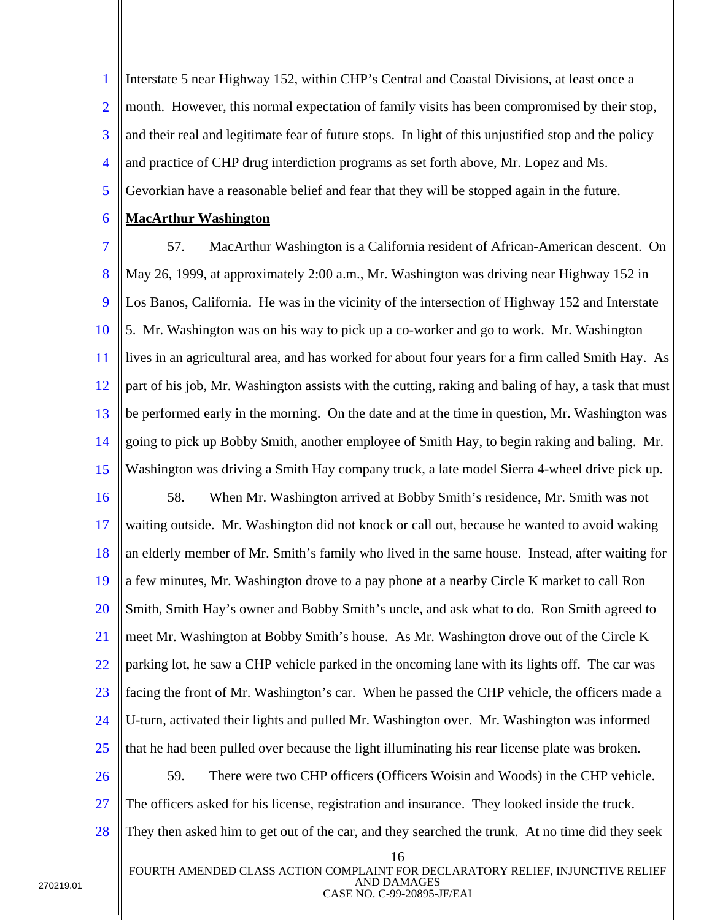1 2 3 4 5 Interstate 5 near Highway 152, within CHP's Central and Coastal Divisions, at least once a month. However, this normal expectation of family visits has been compromised by their stop, and their real and legitimate fear of future stops. In light of this unjustified stop and the policy and practice of CHP drug interdiction programs as set forth above, Mr. Lopez and Ms. Gevorkian have a reasonable belief and fear that they will be stopped again in the future.

#### 6 **MacArthur Washington**

7 8 9 10 11 12 13 14 15 16 17 18 19 20 21 22 23 24 57. MacArthur Washington is a California resident of African-American descent. On May 26, 1999, at approximately 2:00 a.m., Mr. Washington was driving near Highway 152 in Los Banos, California. He was in the vicinity of the intersection of Highway 152 and Interstate 5. Mr. Washington was on his way to pick up a co-worker and go to work. Mr. Washington lives in an agricultural area, and has worked for about four years for a firm called Smith Hay. As part of his job, Mr. Washington assists with the cutting, raking and baling of hay, a task that must be performed early in the morning. On the date and at the time in question, Mr. Washington was going to pick up Bobby Smith, another employee of Smith Hay, to begin raking and baling. Mr. Washington was driving a Smith Hay company truck, a late model Sierra 4-wheel drive pick up. 58. When Mr. Washington arrived at Bobby Smith's residence, Mr. Smith was not waiting outside. Mr. Washington did not knock or call out, because he wanted to avoid waking an elderly member of Mr. Smith's family who lived in the same house. Instead, after waiting for a few minutes, Mr. Washington drove to a pay phone at a nearby Circle K market to call Ron Smith, Smith Hay's owner and Bobby Smith's uncle, and ask what to do. Ron Smith agreed to meet Mr. Washington at Bobby Smith's house. As Mr. Washington drove out of the Circle K parking lot, he saw a CHP vehicle parked in the oncoming lane with its lights off. The car was facing the front of Mr. Washington's car. When he passed the CHP vehicle, the officers made a U-turn, activated their lights and pulled Mr. Washington over. Mr. Washington was informed

26 27 28 59. There were two CHP officers (Officers Woisin and Woods) in the CHP vehicle. The officers asked for his license, registration and insurance. They looked inside the truck. They then asked him to get out of the car, and they searched the trunk. At no time did they seek

that he had been pulled over because the light illuminating his rear license plate was broken.

25

<sup>16</sup>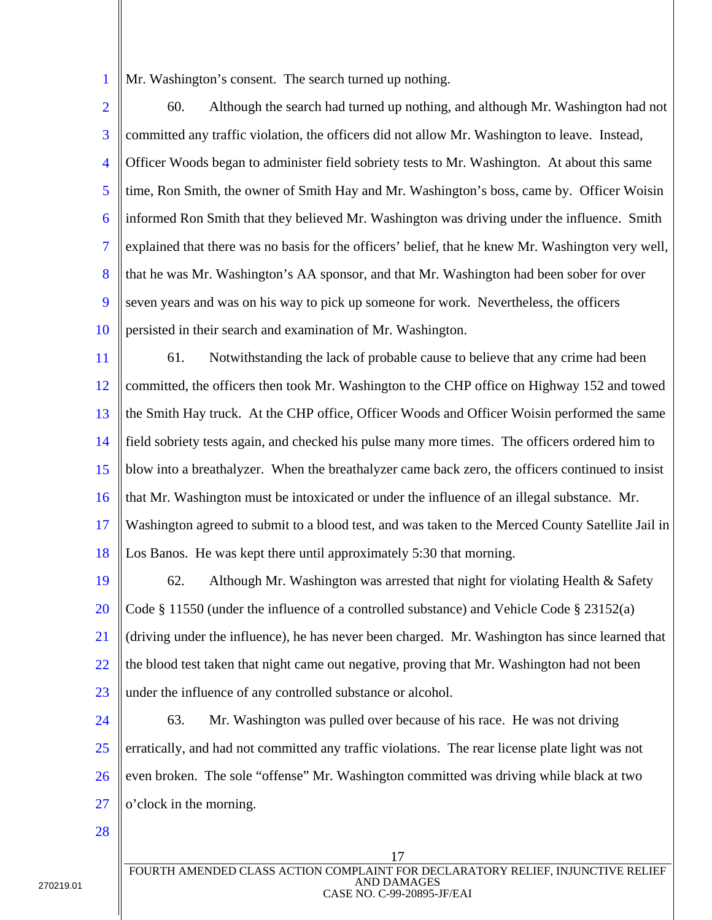1 Mr. Washington's consent. The search turned up nothing.

2 3 4 5 6 7 8 9 10 60. Although the search had turned up nothing, and although Mr. Washington had not committed any traffic violation, the officers did not allow Mr. Washington to leave. Instead, Officer Woods began to administer field sobriety tests to Mr. Washington. At about this same time, Ron Smith, the owner of Smith Hay and Mr. Washington's boss, came by. Officer Woisin informed Ron Smith that they believed Mr. Washington was driving under the influence. Smith explained that there was no basis for the officers' belief, that he knew Mr. Washington very well, that he was Mr. Washington's AA sponsor, and that Mr. Washington had been sober for over seven years and was on his way to pick up someone for work. Nevertheless, the officers persisted in their search and examination of Mr. Washington.

11 12 13 14 15 16 17 18 61. Notwithstanding the lack of probable cause to believe that any crime had been committed, the officers then took Mr. Washington to the CHP office on Highway 152 and towed the Smith Hay truck. At the CHP office, Officer Woods and Officer Woisin performed the same field sobriety tests again, and checked his pulse many more times. The officers ordered him to blow into a breathalyzer. When the breathalyzer came back zero, the officers continued to insist that Mr. Washington must be intoxicated or under the influence of an illegal substance. Mr. Washington agreed to submit to a blood test, and was taken to the Merced County Satellite Jail in Los Banos. He was kept there until approximately 5:30 that morning.

19 20 21 22 23 62. Although Mr. Washington was arrested that night for violating Health & Safety Code § 11550 (under the influence of a controlled substance) and Vehicle Code § 23152(a) (driving under the influence), he has never been charged. Mr. Washington has since learned that the blood test taken that night came out negative, proving that Mr. Washington had not been under the influence of any controlled substance or alcohol.

24 25 26 27 63. Mr. Washington was pulled over because of his race. He was not driving erratically, and had not committed any traffic violations. The rear license plate light was not even broken. The sole "offense" Mr. Washington committed was driving while black at two o'clock in the morning.

28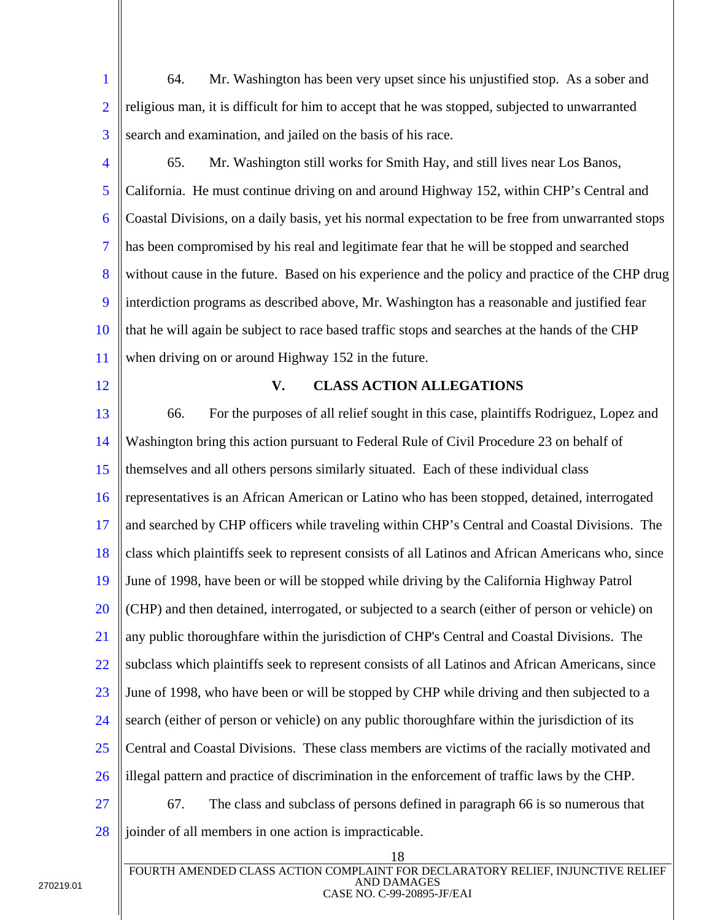1 2 3 64. Mr. Washington has been very upset since his unjustified stop. As a sober and religious man, it is difficult for him to accept that he was stopped, subjected to unwarranted search and examination, and jailed on the basis of his race.

- 4 5 6 7 8 9 10 11 65. Mr. Washington still works for Smith Hay, and still lives near Los Banos, California. He must continue driving on and around Highway 152, within CHP's Central and Coastal Divisions, on a daily basis, yet his normal expectation to be free from unwarranted stops has been compromised by his real and legitimate fear that he will be stopped and searched without cause in the future. Based on his experience and the policy and practice of the CHP drug interdiction programs as described above, Mr. Washington has a reasonable and justified fear that he will again be subject to race based traffic stops and searches at the hands of the CHP when driving on or around Highway 152 in the future.
- 12

### **V. CLASS ACTION ALLEGATIONS**

13 14 15 16 17 18 19 20 21 22 23 24 25 26 27 28 66. For the purposes of all relief sought in this case, plaintiffs Rodriguez, Lopez and Washington bring this action pursuant to Federal Rule of Civil Procedure 23 on behalf of themselves and all others persons similarly situated. Each of these individual class representatives is an African American or Latino who has been stopped, detained, interrogated and searched by CHP officers while traveling within CHP's Central and Coastal Divisions. The class which plaintiffs seek to represent consists of all Latinos and African Americans who, since June of 1998, have been or will be stopped while driving by the California Highway Patrol (CHP) and then detained, interrogated, or subjected to a search (either of person or vehicle) on any public thoroughfare within the jurisdiction of CHP's Central and Coastal Divisions. The subclass which plaintiffs seek to represent consists of all Latinos and African Americans, since June of 1998, who have been or will be stopped by CHP while driving and then subjected to a search (either of person or vehicle) on any public thoroughfare within the jurisdiction of its Central and Coastal Divisions. These class members are victims of the racially motivated and illegal pattern and practice of discrimination in the enforcement of traffic laws by the CHP. 67. The class and subclass of persons defined in paragraph 66 is so numerous that joinder of all members in one action is impracticable.

18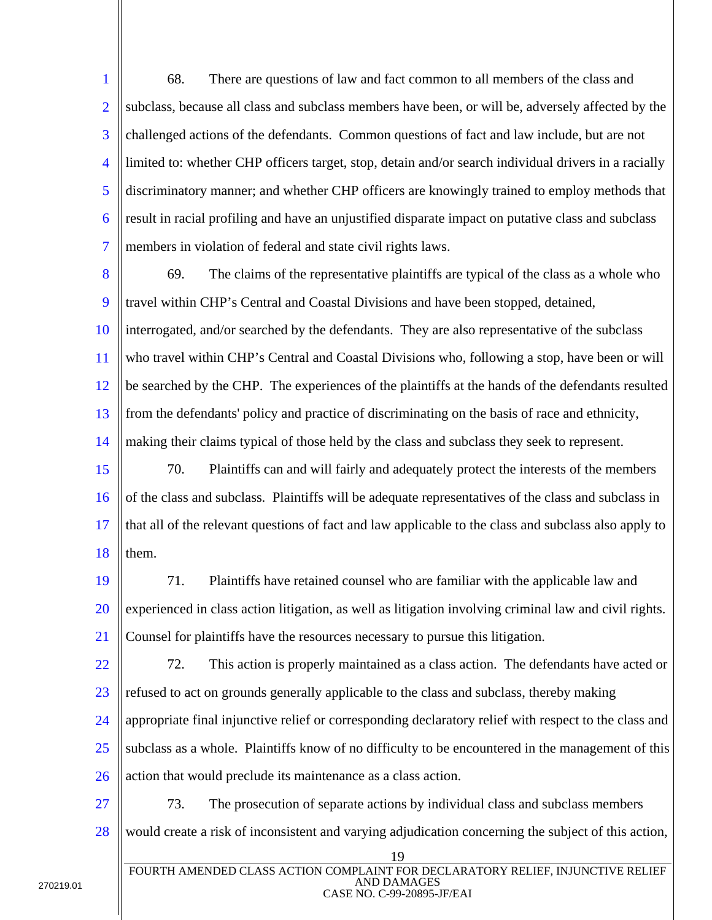1 2 3 4 5 6 7 68. There are questions of law and fact common to all members of the class and subclass, because all class and subclass members have been, or will be, adversely affected by the challenged actions of the defendants. Common questions of fact and law include, but are not limited to: whether CHP officers target, stop, detain and/or search individual drivers in a racially discriminatory manner; and whether CHP officers are knowingly trained to employ methods that result in racial profiling and have an unjustified disparate impact on putative class and subclass members in violation of federal and state civil rights laws.

- 8 9 10 11 12 13 14 69. The claims of the representative plaintiffs are typical of the class as a whole who travel within CHP's Central and Coastal Divisions and have been stopped, detained, interrogated, and/or searched by the defendants. They are also representative of the subclass who travel within CHP's Central and Coastal Divisions who, following a stop, have been or will be searched by the CHP. The experiences of the plaintiffs at the hands of the defendants resulted from the defendants' policy and practice of discriminating on the basis of race and ethnicity, making their claims typical of those held by the class and subclass they seek to represent.
- 15 16 17 18 70. Plaintiffs can and will fairly and adequately protect the interests of the members of the class and subclass. Plaintiffs will be adequate representatives of the class and subclass in that all of the relevant questions of fact and law applicable to the class and subclass also apply to them.
- 19 20 21 71. Plaintiffs have retained counsel who are familiar with the applicable law and experienced in class action litigation, as well as litigation involving criminal law and civil rights. Counsel for plaintiffs have the resources necessary to pursue this litigation.
- 22 23 24 25 26 72. This action is properly maintained as a class action. The defendants have acted or refused to act on grounds generally applicable to the class and subclass, thereby making appropriate final injunctive relief or corresponding declaratory relief with respect to the class and subclass as a whole. Plaintiffs know of no difficulty to be encountered in the management of this action that would preclude its maintenance as a class action.
- 27 28 73. The prosecution of separate actions by individual class and subclass members would create a risk of inconsistent and varying adjudication concerning the subject of this action,

19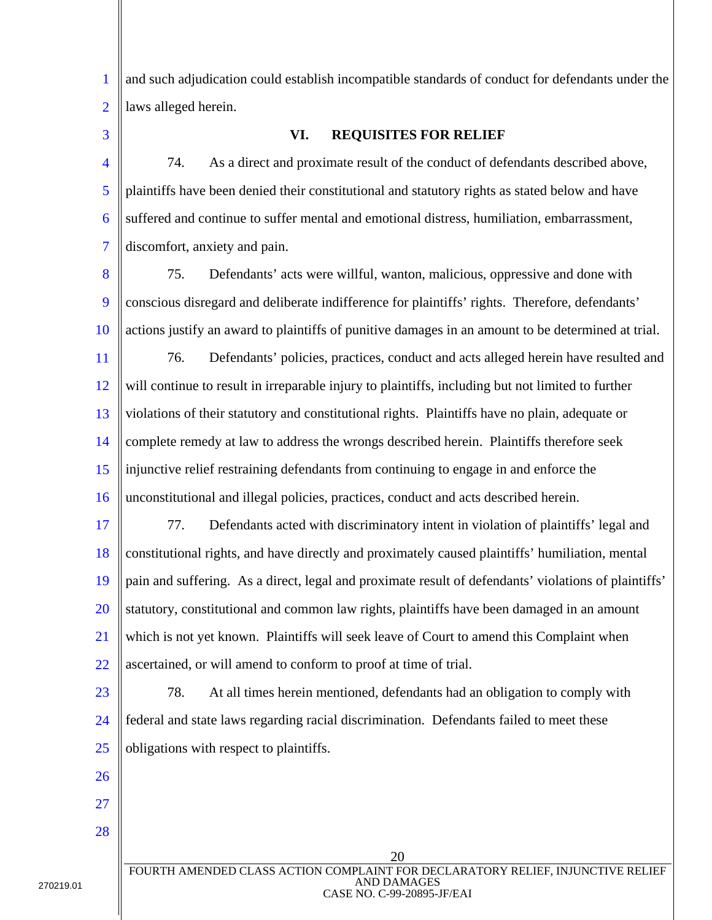1 2 and such adjudication could establish incompatible standards of conduct for defendants under the laws alleged herein.

3

## **VI. REQUISITES FOR RELIEF**

4 5 6 7 74. As a direct and proximate result of the conduct of defendants described above, plaintiffs have been denied their constitutional and statutory rights as stated below and have suffered and continue to suffer mental and emotional distress, humiliation, embarrassment, discomfort, anxiety and pain.

8 9 10 11 75. Defendants' acts were willful, wanton, malicious, oppressive and done with conscious disregard and deliberate indifference for plaintiffs' rights. Therefore, defendants' actions justify an award to plaintiffs of punitive damages in an amount to be determined at trial. 76. Defendants' policies, practices, conduct and acts alleged herein have resulted and

12 13 14 15 16 will continue to result in irreparable injury to plaintiffs, including but not limited to further violations of their statutory and constitutional rights. Plaintiffs have no plain, adequate or complete remedy at law to address the wrongs described herein. Plaintiffs therefore seek injunctive relief restraining defendants from continuing to engage in and enforce the unconstitutional and illegal policies, practices, conduct and acts described herein.

17 18 19 20 21 22 77. Defendants acted with discriminatory intent in violation of plaintiffs' legal and constitutional rights, and have directly and proximately caused plaintiffs' humiliation, mental pain and suffering. As a direct, legal and proximate result of defendants' violations of plaintiffs' statutory, constitutional and common law rights, plaintiffs have been damaged in an amount which is not yet known. Plaintiffs will seek leave of Court to amend this Complaint when ascertained, or will amend to conform to proof at time of trial.

23 24 25 78. At all times herein mentioned, defendants had an obligation to comply with federal and state laws regarding racial discrimination. Defendants failed to meet these obligations with respect to plaintiffs.

20 FOURTH AMENDED CLASS ACTION COMPLAINT FOR DECLARATORY RELIEF, INJUNCTIVE RELIEF AND DAMAGES CASE NO. C-99-20895-JF/EAI

26

27

28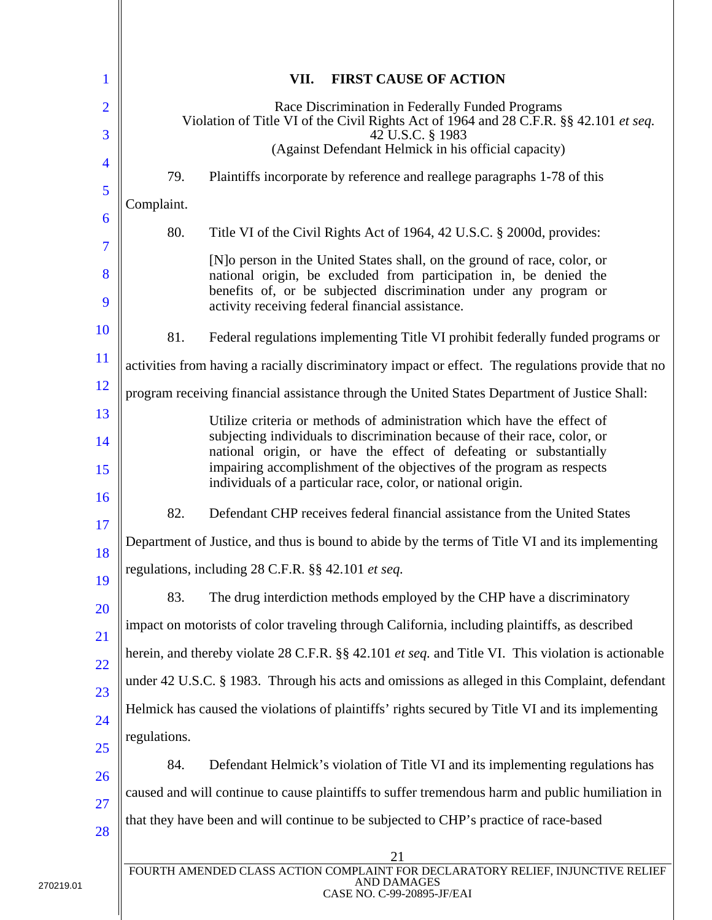| 1                   |              | <b>FIRST CAUSE OF ACTION</b><br>VII.                                                                                                                                                                                                                                   |
|---------------------|--------------|------------------------------------------------------------------------------------------------------------------------------------------------------------------------------------------------------------------------------------------------------------------------|
| $\overline{2}$<br>3 |              | Race Discrimination in Federally Funded Programs<br>Violation of Title VI of the Civil Rights Act of 1964 and 28 C.F.R. §§ 42.101 et seq.<br>42 U.S.C. § 1983                                                                                                          |
| 4                   |              | (Against Defendant Helmick in his official capacity)                                                                                                                                                                                                                   |
| 5                   | 79.          | Plaintiffs incorporate by reference and reallege paragraphs 1-78 of this                                                                                                                                                                                               |
| 6                   | Complaint.   |                                                                                                                                                                                                                                                                        |
| 7                   | 80.          | Title VI of the Civil Rights Act of 1964, 42 U.S.C. § 2000d, provides:                                                                                                                                                                                                 |
| 8<br>9              |              | [N] o person in the United States shall, on the ground of race, color, or<br>national origin, be excluded from participation in, be denied the<br>benefits of, or be subjected discrimination under any program or<br>activity receiving federal financial assistance. |
| 10                  | 81.          | Federal regulations implementing Title VI prohibit federally funded programs or                                                                                                                                                                                        |
| 11                  |              | activities from having a racially discriminatory impact or effect. The regulations provide that no                                                                                                                                                                     |
| 12                  |              | program receiving financial assistance through the United States Department of Justice Shall:                                                                                                                                                                          |
| 13                  |              | Utilize criteria or methods of administration which have the effect of                                                                                                                                                                                                 |
| 14<br>15            |              | subjecting individuals to discrimination because of their race, color, or<br>national origin, or have the effect of defeating or substantially<br>impairing accomplishment of the objectives of the program as respects                                                |
| 16                  |              | individuals of a particular race, color, or national origin.                                                                                                                                                                                                           |
| 17                  | 82.          | Defendant CHP receives federal financial assistance from the United States                                                                                                                                                                                             |
| 18                  |              | Department of Justice, and thus is bound to abide by the terms of Title VI and its implementing                                                                                                                                                                        |
| 19                  |              | regulations, including 28 C.F.R. §§ 42.101 et seq.                                                                                                                                                                                                                     |
| 20                  | 83.          | The drug interdiction methods employed by the CHP have a discriminatory                                                                                                                                                                                                |
| 21                  |              | impact on motorists of color traveling through California, including plaintiffs, as described                                                                                                                                                                          |
| 22                  |              | herein, and thereby violate 28 C.F.R. §§ 42.101 <i>et seq.</i> and Title VI. This violation is actionable                                                                                                                                                              |
| 23                  |              | under 42 U.S.C. § 1983. Through his acts and omissions as alleged in this Complaint, defendant                                                                                                                                                                         |
| 24                  |              | Helmick has caused the violations of plaintiffs' rights secured by Title VI and its implementing                                                                                                                                                                       |
| 25                  | regulations. |                                                                                                                                                                                                                                                                        |
| 26                  | 84.          | Defendant Helmick's violation of Title VI and its implementing regulations has                                                                                                                                                                                         |
| 27                  |              | caused and will continue to cause plaintiffs to suffer tremendous harm and public humiliation in                                                                                                                                                                       |
| 28                  |              | that they have been and will continue to be subjected to CHP's practice of race-based                                                                                                                                                                                  |
|                     |              | 21<br>FOURTH AMENDED CLASS ACTION COMPLAINT FOR DECLARATORY RELIEF, INJUNCTIVE RELIEF<br><b>AND DAMAGES</b><br>CASE NO. C-99-20895-JF/EAI                                                                                                                              |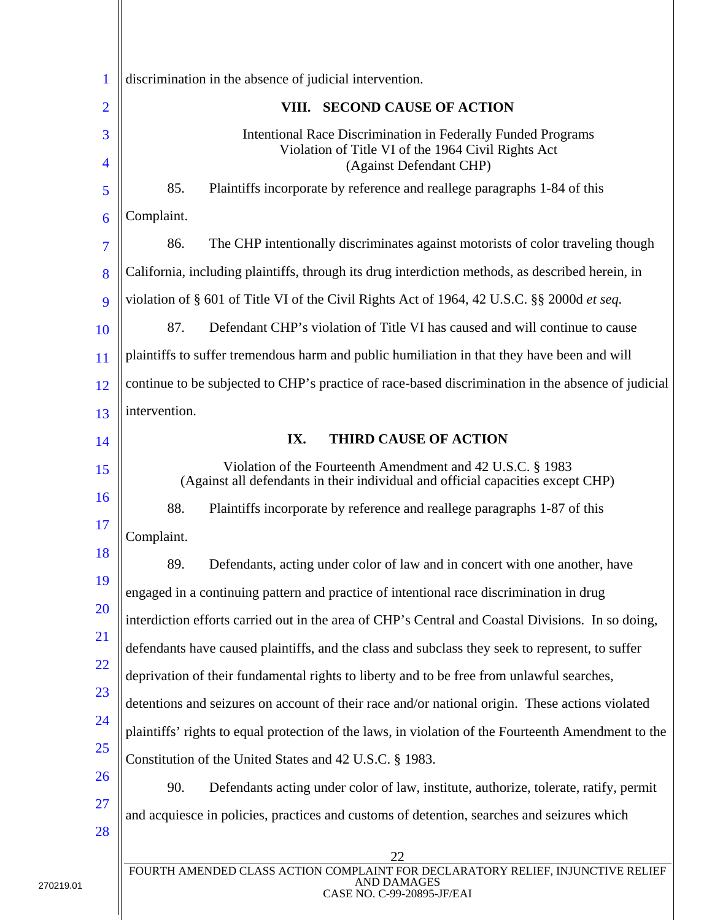| 1                      | discrimination in the absence of judicial intervention.                                                                                       |
|------------------------|-----------------------------------------------------------------------------------------------------------------------------------------------|
| $\overline{2}$         | <b>SECOND CAUSE OF ACTION</b><br>VIII.                                                                                                        |
| 3<br>$\overline{4}$    | Intentional Race Discrimination in Federally Funded Programs<br>Violation of Title VI of the 1964 Civil Rights Act<br>(Against Defendant CHP) |
| 5                      | 85.<br>Plaintiffs incorporate by reference and reallege paragraphs 1-84 of this                                                               |
| 6                      | Complaint.                                                                                                                                    |
| 7                      | 86.<br>The CHP intentionally discriminates against motorists of color traveling though                                                        |
| 8                      | California, including plaintiffs, through its drug interdiction methods, as described herein, in                                              |
| 9                      | violation of § 601 of Title VI of the Civil Rights Act of 1964, 42 U.S.C. §§ 2000d et seq.                                                    |
| <b>10</b>              | 87.<br>Defendant CHP's violation of Title VI has caused and will continue to cause                                                            |
| 11                     | plaintiffs to suffer tremendous harm and public humiliation in that they have been and will                                                   |
| 12                     | continue to be subjected to CHP's practice of race-based discrimination in the absence of judicial                                            |
| 13                     | intervention.                                                                                                                                 |
| 14                     | IX.<br><b>THIRD CAUSE OF ACTION</b>                                                                                                           |
| 15                     | Violation of the Fourteenth Amendment and 42 U.S.C. § 1983<br>(Against all defendants in their individual and official capacities except CHP) |
| <b>16</b>              | 88.<br>Plaintiffs incorporate by reference and reallege paragraphs 1-87 of this                                                               |
| 17                     | Complaint.                                                                                                                                    |
| 18                     | 89.<br>Defendants, acting under color of law and in concert with one another, have                                                            |
| 19                     | engaged in a continuing pattern and practice of intentional race discrimination in drug                                                       |
| 20                     | interdiction efforts carried out in the area of CHP's Central and Coastal Divisions. In so doing,                                             |
| <b>21</b>              | defendants have caused plaintiffs, and the class and subclass they seek to represent, to suffer                                               |
| <u>22</u>              | deprivation of their fundamental rights to liberty and to be free from unlawful searches,                                                     |
| 23                     | detentions and seizures on account of their race and/or national origin. These actions violated                                               |
| 24                     | plaintiffs' rights to equal protection of the laws, in violation of the Fourteenth Amendment to the                                           |
| 25                     | Constitution of the United States and 42 U.S.C. § 1983.                                                                                       |
| <b>26</b><br><b>27</b> | 90.<br>Defendants acting under color of law, institute, authorize, tolerate, ratify, permit                                                   |
| 28                     | and acquiesce in policies, practices and customs of detention, searches and seizures which                                                    |
|                        | 22                                                                                                                                            |
|                        | FOURTH AMENDED CLASS ACTION COMPLAINT FOR DECLARATORY RELIEF, INJUNCTIVE RELIEF<br>AND DAMAGES                                                |

∥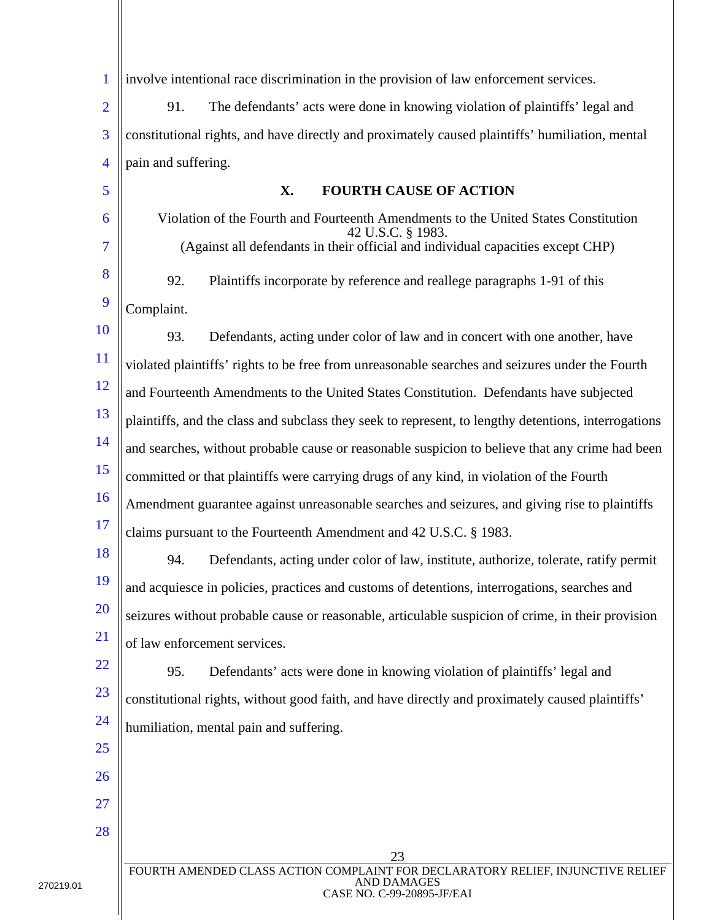| $\mathbf{1}$   | involve intentional race discrimination in the provision of law enforcement services.                                                     |
|----------------|-------------------------------------------------------------------------------------------------------------------------------------------|
| $\overline{2}$ | 91.<br>The defendants' acts were done in knowing violation of plaintiffs' legal and                                                       |
| 3              | constitutional rights, and have directly and proximately caused plaintiffs' humiliation, mental                                           |
| $\overline{4}$ | pain and suffering.                                                                                                                       |
| 5              | X.<br><b>FOURTH CAUSE OF ACTION</b>                                                                                                       |
| 6              | Violation of the Fourth and Fourteenth Amendments to the United States Constitution<br>42 U.S.C. § 1983.                                  |
| 7              | (Against all defendants in their official and individual capacities except CHP)                                                           |
| 8              | 92.<br>Plaintiffs incorporate by reference and reallege paragraphs 1-91 of this                                                           |
| 9              | Complaint.                                                                                                                                |
| <b>10</b>      | 93.<br>Defendants, acting under color of law and in concert with one another, have                                                        |
| <sup>11</sup>  | violated plaintiffs' rights to be free from unreasonable searches and seizures under the Fourth                                           |
| <sup>12</sup>  | and Fourteenth Amendments to the United States Constitution. Defendants have subjected                                                    |
| 13             | plaintiffs, and the class and subclass they seek to represent, to lengthy detentions, interrogations                                      |
| 14             | and searches, without probable cause or reasonable suspicion to believe that any crime had been                                           |
| 15             | committed or that plaintiffs were carrying drugs of any kind, in violation of the Fourth                                                  |
| 16             | Amendment guarantee against unreasonable searches and seizures, and giving rise to plaintiffs                                             |
| 17             | claims pursuant to the Fourteenth Amendment and 42 U.S.C. § 1983.                                                                         |
| 18             | 94.<br>Defendants, acting under color of law, institute, authorize, tolerate, ratify permit                                               |
| 19             | and acquiesce in policies, practices and customs of detentions, interrogations, searches and                                              |
| <b>20</b>      | seizures without probable cause or reasonable, articulable suspicion of crime, in their provision                                         |
| 21             | of law enforcement services.                                                                                                              |
| 22             | 95.<br>Defendants' acts were done in knowing violation of plaintiffs' legal and                                                           |
| 23             | constitutional rights, without good faith, and have directly and proximately caused plaintiffs'                                           |
| 24             | humiliation, mental pain and suffering.                                                                                                   |
| 25             |                                                                                                                                           |
| <b>26</b>      |                                                                                                                                           |
| 27             |                                                                                                                                           |
| 28             |                                                                                                                                           |
|                | 23<br>FOURTH AMENDED CLASS ACTION COMPLAINT FOR DECLARATORY RELIEF, INJUNCTIVE RELIEF<br><b>AND DAMAGES</b><br>CASE NO. C-99-20895-JF/EAI |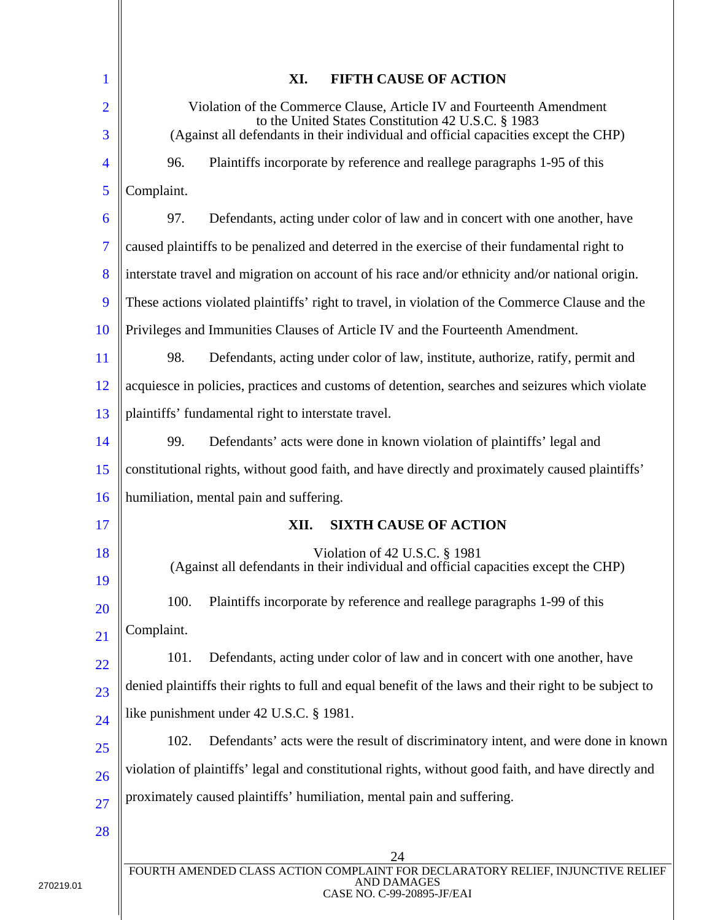| 1              | XI.<br><b>FIFTH CAUSE OF ACTION</b>                                                                                                       |
|----------------|-------------------------------------------------------------------------------------------------------------------------------------------|
| $\overline{2}$ | Violation of the Commerce Clause, Article IV and Fourteenth Amendment<br>to the United States Constitution 42 U.S.C. § 1983               |
| 3              | (Against all defendants in their individual and official capacities except the CHP)                                                       |
| 4              | 96.<br>Plaintiffs incorporate by reference and reallege paragraphs 1-95 of this                                                           |
| 5              | Complaint.                                                                                                                                |
| 6              | 97.<br>Defendants, acting under color of law and in concert with one another, have                                                        |
| 7              | caused plaintiffs to be penalized and deterred in the exercise of their fundamental right to                                              |
| 8              | interstate travel and migration on account of his race and/or ethnicity and/or national origin.                                           |
| 9              | These actions violated plaintiffs' right to travel, in violation of the Commerce Clause and the                                           |
| 10             | Privileges and Immunities Clauses of Article IV and the Fourteenth Amendment.                                                             |
| 11             | 98.<br>Defendants, acting under color of law, institute, authorize, ratify, permit and                                                    |
| 12             | acquiesce in policies, practices and customs of detention, searches and seizures which violate                                            |
| 13             | plaintiffs' fundamental right to interstate travel.                                                                                       |
| 14             | 99.<br>Defendants' acts were done in known violation of plaintiffs' legal and                                                             |
| 15             | constitutional rights, without good faith, and have directly and proximately caused plaintiffs'                                           |
| 16             | humiliation, mental pain and suffering.                                                                                                   |
| 17             | XII.<br><b>SIXTH CAUSE OF ACTION</b>                                                                                                      |
| 18<br>19       | Violation of 42 U.S.C. § 1981<br>(Against all defendants in their individual and official capacities except the CHP)                      |
| 20             | 100.<br>Plaintiffs incorporate by reference and reallege paragraphs 1-99 of this                                                          |
| 21             | Complaint.                                                                                                                                |
| 22             | 101.<br>Defendants, acting under color of law and in concert with one another, have                                                       |
| 23             | denied plaintiffs their rights to full and equal benefit of the laws and their right to be subject to                                     |
| 24             | like punishment under 42 U.S.C. § 1981.                                                                                                   |
| 25             | 102.<br>Defendants' acts were the result of discriminatory intent, and were done in known                                                 |
| 26             | violation of plaintiffs' legal and constitutional rights, without good faith, and have directly and                                       |
| 27             | proximately caused plaintiffs' humiliation, mental pain and suffering.                                                                    |
| 28             |                                                                                                                                           |
|                | 24<br>FOURTH AMENDED CLASS ACTION COMPLAINT FOR DECLARATORY RELIEF, INJUNCTIVE RELIEF<br><b>AND DAMAGES</b><br>CASE NO. C-99-20895-JF/EAI |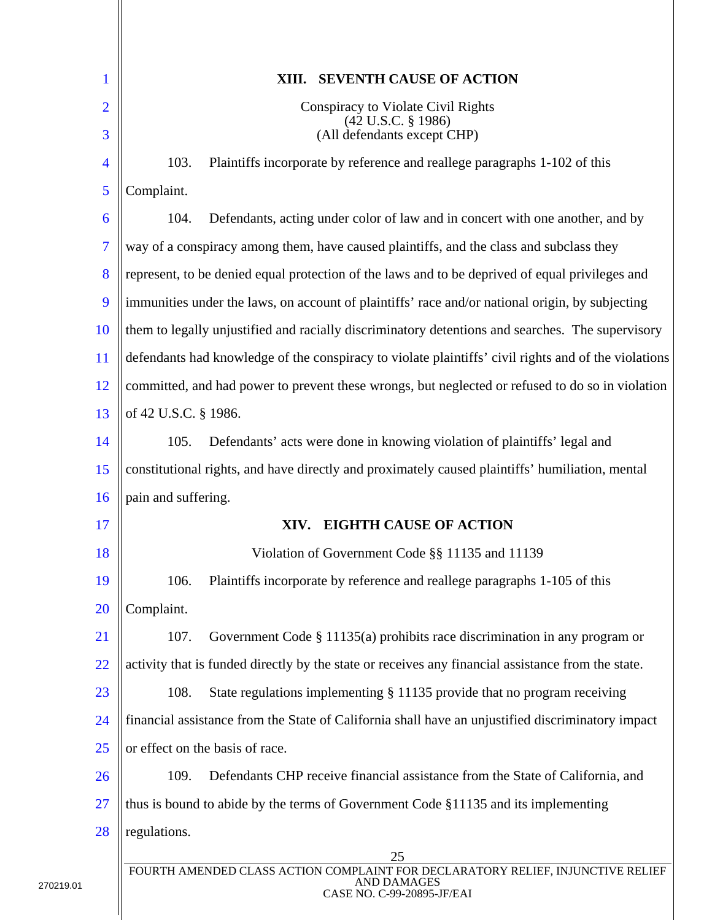| 1                   | <b>SEVENTH CAUSE OF ACTION</b><br>XIII.                                                                                                   |
|---------------------|-------------------------------------------------------------------------------------------------------------------------------------------|
| $\overline{2}$<br>3 | Conspiracy to Violate Civil Rights<br>$(42 \text{ U.S.C. } § 1986)$<br>(All defendants except CHP)                                        |
| 4                   | Plaintiffs incorporate by reference and reallege paragraphs 1-102 of this<br>103.                                                         |
| 5                   | Complaint.                                                                                                                                |
| 6                   | Defendants, acting under color of law and in concert with one another, and by<br>104.                                                     |
| 7                   | way of a conspiracy among them, have caused plaintiffs, and the class and subclass they                                                   |
| 8                   | represent, to be denied equal protection of the laws and to be deprived of equal privileges and                                           |
| 9                   | immunities under the laws, on account of plaintiffs' race and/or national origin, by subjecting                                           |
| 10                  | them to legally unjustified and racially discriminatory detentions and searches. The supervisory                                          |
| 11                  | defendants had knowledge of the conspiracy to violate plaintiffs' civil rights and of the violations                                      |
| 12                  | committed, and had power to prevent these wrongs, but neglected or refused to do so in violation                                          |
| 13                  | of 42 U.S.C. § 1986.                                                                                                                      |
| 14                  | Defendants' acts were done in knowing violation of plaintiffs' legal and<br>105.                                                          |
| 15                  | constitutional rights, and have directly and proximately caused plaintiffs' humiliation, mental                                           |
| 16                  | pain and suffering.                                                                                                                       |
| 17                  | <b>EIGHTH CAUSE OF ACTION</b><br>XIV.                                                                                                     |
| 18                  | Violation of Government Code §§ 11135 and 11139                                                                                           |
| 19                  | Plaintiffs incorporate by reference and reallege paragraphs 1-105 of this<br>106.                                                         |
| 20                  | Complaint.                                                                                                                                |
| 21                  | 107.<br>Government Code $\S$ 11135(a) prohibits race discrimination in any program or                                                     |
| 22                  | activity that is funded directly by the state or receives any financial assistance from the state.                                        |
| 23                  | 108.<br>State regulations implementing § 11135 provide that no program receiving                                                          |
| 24                  | financial assistance from the State of California shall have an unjustified discriminatory impact                                         |
| 25                  | or effect on the basis of race.                                                                                                           |
| 26                  | 109.<br>Defendants CHP receive financial assistance from the State of California, and                                                     |
| 27                  | thus is bound to abide by the terms of Government Code §11135 and its implementing                                                        |
| 28                  | regulations.                                                                                                                              |
|                     | 25<br>FOURTH AMENDED CLASS ACTION COMPLAINT FOR DECLARATORY RELIEF, INJUNCTIVE RELIEF<br><b>AND DAMAGES</b><br>CASE NO. C-99-20895-JF/EAI |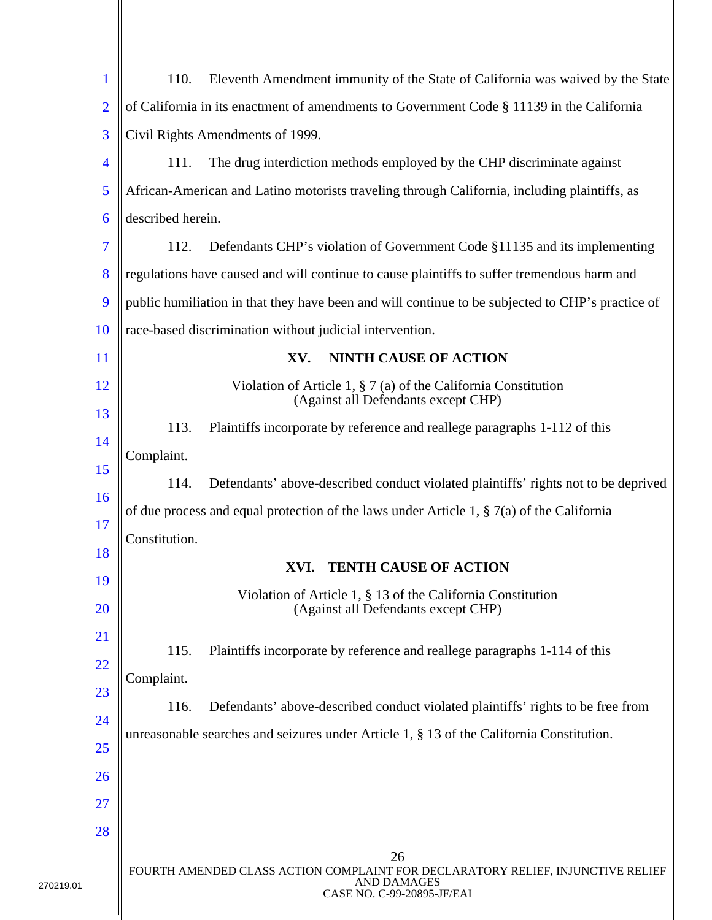| $\mathbf{1}$   | 110.<br>Eleventh Amendment immunity of the State of California was waived by the State                                                    |
|----------------|-------------------------------------------------------------------------------------------------------------------------------------------|
| $\overline{2}$ | of California in its enactment of amendments to Government Code § 11139 in the California                                                 |
| 3              | Civil Rights Amendments of 1999.                                                                                                          |
| $\overline{4}$ | 111.<br>The drug interdiction methods employed by the CHP discriminate against                                                            |
| 5              | African-American and Latino motorists traveling through California, including plaintiffs, as                                              |
| 6              | described herein.                                                                                                                         |
| 7              | 112.<br>Defendants CHP's violation of Government Code §11135 and its implementing                                                         |
| 8              | regulations have caused and will continue to cause plaintiffs to suffer tremendous harm and                                               |
| 9              | public humiliation in that they have been and will continue to be subjected to CHP's practice of                                          |
| 10             | race-based discrimination without judicial intervention.                                                                                  |
| <sup>11</sup>  | XV.<br><b>NINTH CAUSE OF ACTION</b>                                                                                                       |
| 12             | Violation of Article 1, $\S 7$ (a) of the California Constitution<br>(Against all Defendants except CHP)                                  |
| 13             | 113.<br>Plaintiffs incorporate by reference and reallege paragraphs 1-112 of this                                                         |
| 14<br>15       | Complaint.                                                                                                                                |
| 16             | 114.<br>Defendants' above-described conduct violated plaintiffs' rights not to be deprived                                                |
| 17             | of due process and equal protection of the laws under Article 1, $\S$ 7(a) of the California                                              |
| 18             | Constitution.                                                                                                                             |
| 19             | <b>TENTH CAUSE OF ACTION</b><br>XVI.                                                                                                      |
| <b>20</b>      | Violation of Article 1, § 13 of the California Constitution<br>(Against all Defendants except CHP)                                        |
| <u>21</u>      | 115.<br>Plaintiffs incorporate by reference and reallege paragraphs 1-114 of this                                                         |
| 22             | Complaint.                                                                                                                                |
| 23             | 116.<br>Defendants' above-described conduct violated plaintiffs' rights to be free from                                                   |
| 24             | unreasonable searches and seizures under Article 1, $\S$ 13 of the California Constitution.                                               |
| 25             |                                                                                                                                           |
| <b>26</b>      |                                                                                                                                           |
| 27             |                                                                                                                                           |
| 28             |                                                                                                                                           |
|                | 26<br>FOURTH AMENDED CLASS ACTION COMPLAINT FOR DECLARATORY RELIEF, INJUNCTIVE RELIEF<br><b>AND DAMAGES</b><br>CASE NO. C-99-20895-JF/EAI |
|                |                                                                                                                                           |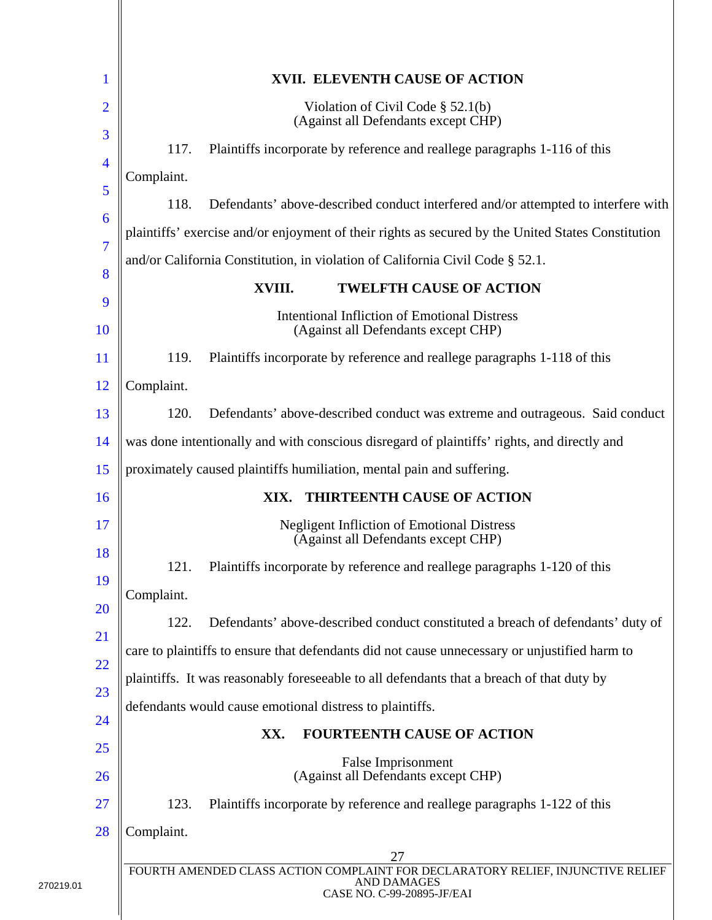| $\mathbf 1$         | XVII. ELEVENTH CAUSE OF ACTION                                                                                                      |  |
|---------------------|-------------------------------------------------------------------------------------------------------------------------------------|--|
| $\overline{2}$<br>3 | Violation of Civil Code $\S$ 52.1(b)<br>(Against all Defendants except CHP)                                                         |  |
|                     | Plaintiffs incorporate by reference and reallege paragraphs 1-116 of this<br>117.                                                   |  |
| $\overline{4}$<br>5 | Complaint.                                                                                                                          |  |
|                     | Defendants' above-described conduct interfered and/or attempted to interfere with<br>118.                                           |  |
| 6<br>$\overline{7}$ | plaintiffs' exercise and/or enjoyment of their rights as secured by the United States Constitution                                  |  |
| 8                   | and/or California Constitution, in violation of California Civil Code § 52.1.                                                       |  |
|                     | <b>TWELFTH CAUSE OF ACTION</b><br>XVIII.                                                                                            |  |
| 9<br>10             | <b>Intentional Infliction of Emotional Distress</b><br>(Against all Defendants except CHP)                                          |  |
| 11                  | Plaintiffs incorporate by reference and reallege paragraphs 1-118 of this<br>119.                                                   |  |
| <sup>12</sup>       | Complaint.                                                                                                                          |  |
| 13                  | Defendants' above-described conduct was extreme and outrageous. Said conduct<br>120.                                                |  |
| 14                  | was done intentionally and with conscious disregard of plaintiffs' rights, and directly and                                         |  |
| 15                  | proximately caused plaintiffs humiliation, mental pain and suffering.                                                               |  |
| 16                  | THIRTEENTH CAUSE OF ACTION<br>XIX.                                                                                                  |  |
| 17                  | <b>Negligent Infliction of Emotional Distress</b><br>(Against all Defendants except CHP)                                            |  |
| 18                  | 121.<br>Plaintiffs incorporate by reference and reallege paragraphs 1-120 of this                                                   |  |
| 19                  | Complaint.                                                                                                                          |  |
| 20<br>21            | Defendants' above-described conduct constituted a breach of defendants' duty of<br>122.                                             |  |
|                     | care to plaintiffs to ensure that defendants did not cause unnecessary or unjustified harm to                                       |  |
| 22                  | plaintiffs. It was reasonably foreseeable to all defendants that a breach of that duty by                                           |  |
| 23                  | defendants would cause emotional distress to plaintiffs.                                                                            |  |
| 24                  | <b>FOURTEENTH CAUSE OF ACTION</b><br>XX.                                                                                            |  |
| 25<br>26            | False Imprisonment<br>(Against all Defendants except CHP)                                                                           |  |
| 27                  | 123.<br>Plaintiffs incorporate by reference and reallege paragraphs 1-122 of this                                                   |  |
| 28                  | Complaint.                                                                                                                          |  |
|                     | 27                                                                                                                                  |  |
|                     | FOURTH AMENDED CLASS ACTION COMPLAINT FOR DECLARATORY RELIEF, INJUNCTIVE RELIEF<br><b>AND DAMAGES</b><br>CASE NO. C-99-20895-JF/EAI |  |
|                     |                                                                                                                                     |  |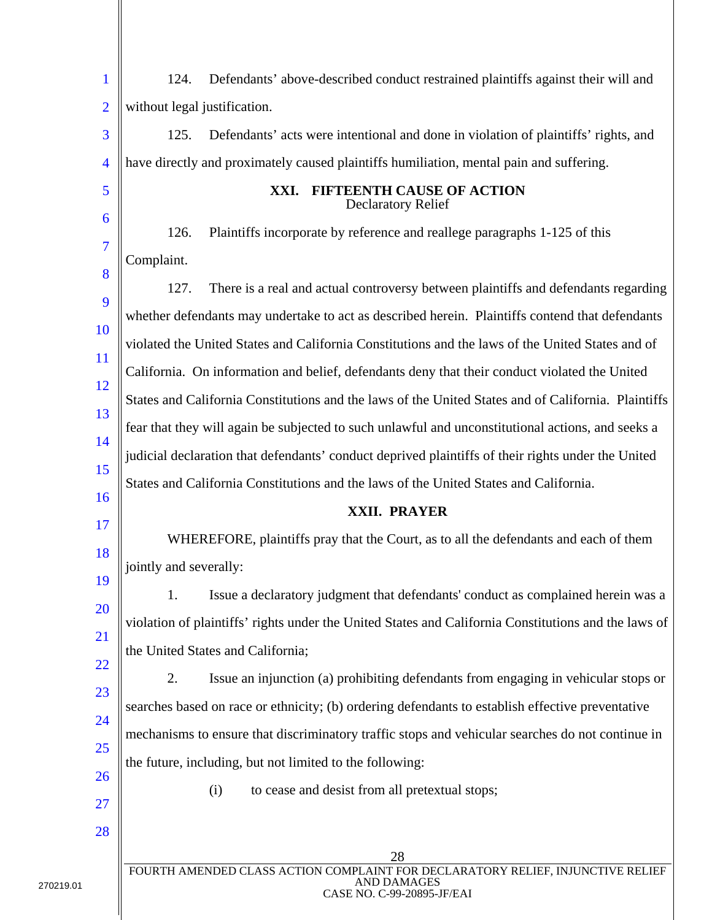| $\mathbf{1}$             | Defendants' above-described conduct restrained plaintiffs against their will and<br>124.             |
|--------------------------|------------------------------------------------------------------------------------------------------|
| $\overline{2}$           | without legal justification.                                                                         |
| 3                        | Defendants' acts were intentional and done in violation of plaintiffs' rights, and<br>125.           |
| $\overline{\mathcal{A}}$ | have directly and proximately caused plaintiffs humiliation, mental pain and suffering.              |
| 5                        | XXI. FIFTEENTH CAUSE OF ACTION<br><b>Declaratory Relief</b>                                          |
| 6                        | Plaintiffs incorporate by reference and reallege paragraphs 1-125 of this<br>126.                    |
| 7                        | Complaint.                                                                                           |
| 8                        | There is a real and actual controversy between plaintiffs and defendants regarding<br>127.           |
| 9                        | whether defendants may undertake to act as described herein. Plaintiffs contend that defendants      |
| <b>10</b>                | violated the United States and California Constitutions and the laws of the United States and of     |
| <sup>11</sup>            | California. On information and belief, defendants deny that their conduct violated the United        |
| 12<br>13                 | States and California Constitutions and the laws of the United States and of California. Plaintiffs  |
| 14                       | fear that they will again be subjected to such unlawful and unconstitutional actions, and seeks a    |
| 15                       | judicial declaration that defendants' conduct deprived plaintiffs of their rights under the United   |
| 16                       | States and California Constitutions and the laws of the United States and California.                |
|                          | XXII. PRAYER                                                                                         |
|                          |                                                                                                      |
| <b>17</b>                | WHEREFORE, plaintiffs pray that the Court, as to all the defendants and each of them                 |
| 18                       | jointly and severally:                                                                               |
| 19                       | Issue a declaratory judgment that defendants' conduct as complained herein was a<br>1.               |
| 20                       | violation of plaintiffs' rights under the United States and California Constitutions and the laws of |
| 21                       | the United States and California;                                                                    |
| 22<br>23                 | 2.<br>Issue an injunction (a) prohibiting defendants from engaging in vehicular stops or             |
| 24                       | searches based on race or ethnicity; (b) ordering defendants to establish effective preventative     |
| 25                       | mechanisms to ensure that discriminatory traffic stops and vehicular searches do not continue in     |
| 26                       | the future, including, but not limited to the following:                                             |
| 27                       | (i)<br>to cease and desist from all pretextual stops;                                                |
| 28                       |                                                                                                      |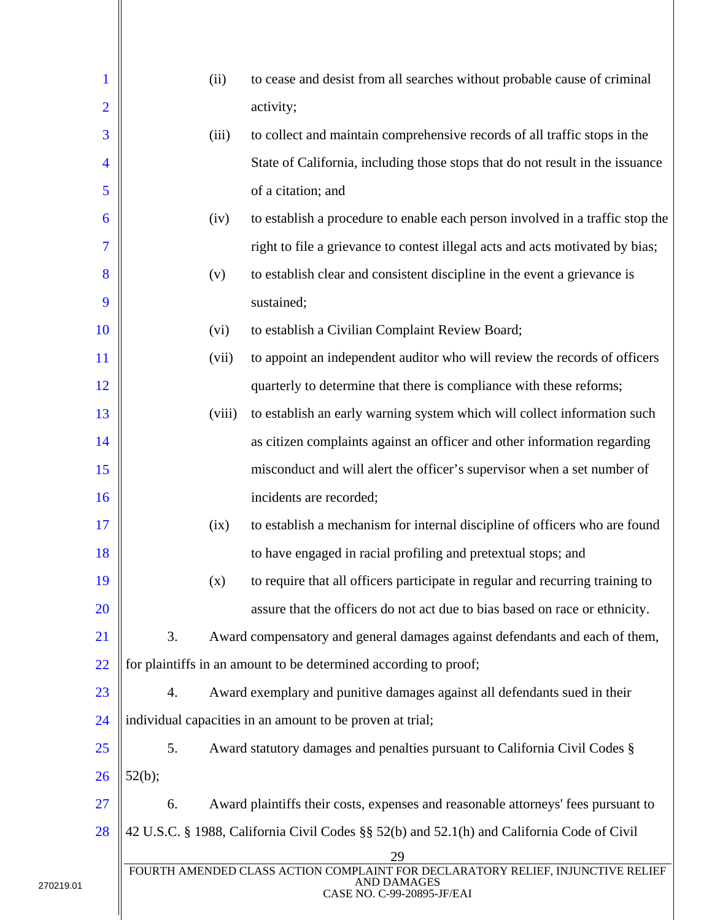| 1              |        | (ii)   | to cease and desist from all searches without probable cause of criminal                                                           |
|----------------|--------|--------|------------------------------------------------------------------------------------------------------------------------------------|
| $\overline{2}$ |        |        | activity;                                                                                                                          |
| 3              |        | (iii)  | to collect and maintain comprehensive records of all traffic stops in the                                                          |
| 4              |        |        | State of California, including those stops that do not result in the issuance                                                      |
| 5              |        |        | of a citation; and                                                                                                                 |
| 6              |        | (iv)   | to establish a procedure to enable each person involved in a traffic stop the                                                      |
| 7              |        |        | right to file a grievance to contest illegal acts and acts motivated by bias;                                                      |
| 8              |        | (v)    | to establish clear and consistent discipline in the event a grievance is                                                           |
| 9              |        |        | sustained;                                                                                                                         |
| 10             |        | (vi)   | to establish a Civilian Complaint Review Board;                                                                                    |
| 11             |        | (vii)  | to appoint an independent auditor who will review the records of officers                                                          |
| 12             |        |        | quarterly to determine that there is compliance with these reforms;                                                                |
| 13             |        | (viii) | to establish an early warning system which will collect information such                                                           |
| 14             |        |        | as citizen complaints against an officer and other information regarding                                                           |
| 15             |        |        | misconduct and will alert the officer's supervisor when a set number of                                                            |
| 16             |        |        | incidents are recorded;                                                                                                            |
| 17             |        | (ix)   | to establish a mechanism for internal discipline of officers who are found                                                         |
| 18             |        |        | to have engaged in racial profiling and pretextual stops; and                                                                      |
| 19             |        | (x)    | to require that all officers participate in regular and recurring training to                                                      |
| 20             |        |        | assure that the officers do not act due to bias based on race or ethnicity.                                                        |
| 21             | 3.     |        | Award compensatory and general damages against defendants and each of them,                                                        |
| 22             |        |        | for plaintiffs in an amount to be determined according to proof;                                                                   |
| 23             | 4.     |        | Award exemplary and punitive damages against all defendants sued in their                                                          |
| 24             |        |        | individual capacities in an amount to be proven at trial;                                                                          |
| 25             | 5.     |        | Award statutory damages and penalties pursuant to California Civil Codes §                                                         |
| 26             | 52(b); |        |                                                                                                                                    |
| 27             | 6.     |        | Award plaintiffs their costs, expenses and reasonable attorneys' fees pursuant to                                                  |
| 28             |        |        | 42 U.S.C. § 1988, California Civil Codes §§ 52(b) and 52.1(h) and California Code of Civil                                         |
|                |        |        | 29<br>FOURTH AMENDED CLASS ACTION COMPLAINT FOR DECLARATORY RELIEF, INJUNCTIVE RELIEF<br>AND DAMAGES<br>CASE NO. C-99-20895-JF/EAI |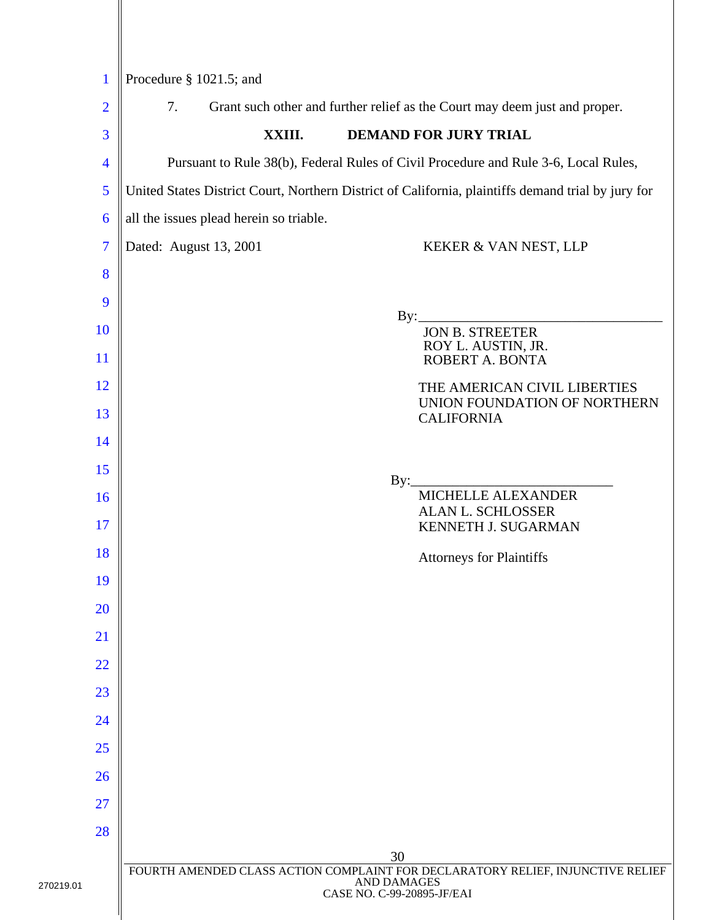| $\mathbf{1}$             | Procedure § 1021.5; and                                                                            |  |  |  |  |
|--------------------------|----------------------------------------------------------------------------------------------------|--|--|--|--|
| $\overline{2}$           | Grant such other and further relief as the Court may deem just and proper.<br>7.                   |  |  |  |  |
| 3                        | <b>DEMAND FOR JURY TRIAL</b><br>XXIII.                                                             |  |  |  |  |
| $\overline{\mathcal{A}}$ | Pursuant to Rule 38(b), Federal Rules of Civil Procedure and Rule 3-6, Local Rules,                |  |  |  |  |
| 5                        | United States District Court, Northern District of California, plaintiffs demand trial by jury for |  |  |  |  |
| 6                        | all the issues plead herein so triable.                                                            |  |  |  |  |
| $\overline{7}$           | Dated: August 13, 2001<br>KEKER & VAN NEST, LLP                                                    |  |  |  |  |
| 8                        |                                                                                                    |  |  |  |  |
| 9                        |                                                                                                    |  |  |  |  |
| 10                       | By:<br><b>JON B. STREETER</b>                                                                      |  |  |  |  |
| 11                       | ROY L. AUSTIN, JR.<br>ROBERT A. BONTA                                                              |  |  |  |  |
| 12                       | THE AMERICAN CIVIL LIBERTIES                                                                       |  |  |  |  |
| 13                       | UNION FOUNDATION OF NORTHERN<br><b>CALIFORNIA</b>                                                  |  |  |  |  |
| 14                       |                                                                                                    |  |  |  |  |
| 15                       | $\rm\,By:$                                                                                         |  |  |  |  |
| 16                       | MICHELLE ALEXANDER<br><b>ALAN L. SCHLOSSER</b>                                                     |  |  |  |  |
| 17                       | KENNETH J. SUGARMAN                                                                                |  |  |  |  |
| 18                       | <b>Attorneys for Plaintiffs</b>                                                                    |  |  |  |  |
| 19                       |                                                                                                    |  |  |  |  |
| 20                       |                                                                                                    |  |  |  |  |
| 21                       |                                                                                                    |  |  |  |  |
| 22                       |                                                                                                    |  |  |  |  |
| 23                       |                                                                                                    |  |  |  |  |
| 24                       |                                                                                                    |  |  |  |  |
| 25                       |                                                                                                    |  |  |  |  |
| 26                       |                                                                                                    |  |  |  |  |
| 27                       |                                                                                                    |  |  |  |  |
| 28                       |                                                                                                    |  |  |  |  |
|                          | 30<br>FOURTH AMENDED CLASS ACTION COMPLAINT FOR DECLARATORY RELIEF, INJUNCTIVE RELIEF              |  |  |  |  |
|                          | <b>AND DAMAGES</b><br>CASE NO. C-99-20895-JF/EAI                                                   |  |  |  |  |